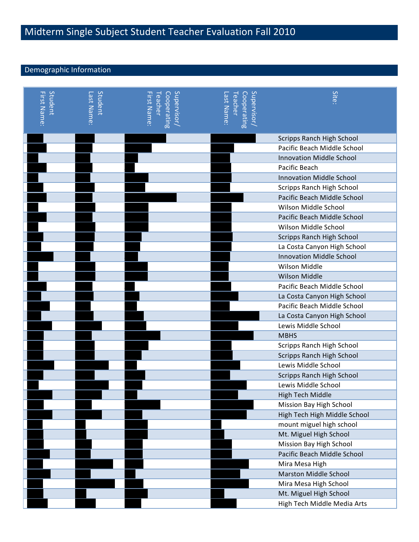# Midterm Single Subject Student Teacher Evaluation Fall 2010

## Demographic Information

| Student<br><b>First Name</b> | Student<br>Last Name | Supervisor/<br>Cooperating<br>First Name<br>Teacher | Supervisor<br>Cooperating<br>  Teacher<br>-ast Name: | <b>Site</b>                      |
|------------------------------|----------------------|-----------------------------------------------------|------------------------------------------------------|----------------------------------|
|                              |                      |                                                     |                                                      | <b>Scripps Ranch High School</b> |
|                              |                      |                                                     |                                                      | Pacific Beach Middle School      |
|                              |                      |                                                     |                                                      | <b>Innovation Middle School</b>  |
|                              |                      |                                                     |                                                      | Pacific Beach                    |
|                              |                      |                                                     |                                                      | <b>Innovation Middle School</b>  |
|                              |                      |                                                     |                                                      | <b>Scripps Ranch High School</b> |
|                              |                      |                                                     |                                                      | Pacific Beach Middle School      |
|                              |                      |                                                     |                                                      | Wilson Middle School             |
|                              |                      |                                                     |                                                      | Pacific Beach Middle School      |
|                              |                      |                                                     |                                                      | Wilson Middle School             |
|                              |                      |                                                     |                                                      | <b>Scripps Ranch High School</b> |
|                              |                      |                                                     |                                                      | La Costa Canyon High School      |
|                              |                      |                                                     |                                                      | <b>Innovation Middle School</b>  |
|                              |                      |                                                     |                                                      | Wilson Middle                    |
|                              |                      |                                                     |                                                      | <b>Wilson Middle</b>             |
|                              |                      |                                                     |                                                      | Pacific Beach Middle School      |
|                              |                      |                                                     |                                                      | La Costa Canyon High School      |
|                              |                      |                                                     |                                                      | Pacific Beach Middle School      |
|                              |                      |                                                     |                                                      | La Costa Canyon High School      |
|                              |                      |                                                     |                                                      | Lewis Middle School              |
|                              |                      |                                                     |                                                      | <b>MBHS</b>                      |
|                              |                      |                                                     |                                                      | <b>Scripps Ranch High School</b> |
|                              |                      |                                                     |                                                      | <b>Scripps Ranch High School</b> |
|                              |                      |                                                     |                                                      | Lewis Middle School              |
|                              |                      |                                                     |                                                      | <b>Scripps Ranch High School</b> |
|                              |                      |                                                     |                                                      | Lewis Middle School              |
|                              |                      |                                                     |                                                      | <b>High Tech Middle</b>          |
|                              |                      |                                                     |                                                      | Mission Bay High School          |
|                              |                      |                                                     |                                                      | High Tech High Middle School     |
|                              |                      |                                                     |                                                      | mount miguel high school         |
|                              |                      |                                                     |                                                      | Mt. Miguel High School           |
|                              |                      |                                                     |                                                      | Mission Bay High School          |
|                              |                      |                                                     |                                                      | Pacific Beach Middle School      |
|                              |                      |                                                     |                                                      | Mira Mesa High                   |
|                              |                      |                                                     |                                                      | <b>Marston Middle School</b>     |
|                              |                      |                                                     |                                                      | Mira Mesa High School            |
|                              |                      |                                                     |                                                      | Mt. Miguel High School           |
|                              |                      |                                                     |                                                      | High Tech Middle Media Arts      |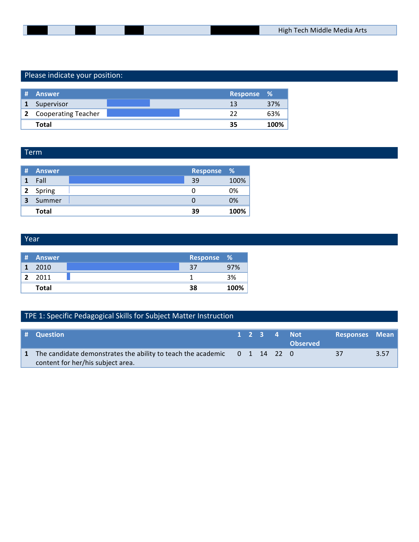## Please indicate your position:

| -# | Answer                | Response % |      |
|----|-----------------------|------------|------|
|    | Supervisor            | 13         | 37%  |
|    | 2 Cooperating Teacher | ,,         | 63%  |
|    | Total                 | 35         | 100% |

### Term

| -#           | Answer       | <b>Response %</b> |      |
|--------------|--------------|-------------------|------|
|              | Fall         | 39                | 100% |
| $\mathbf{2}$ | Spring       |                   | 0%   |
| 3            | Summer       |                   | 0%   |
|              | <b>Total</b> | 39                | 100% |

#### Year

| # | Answer | Response % |      |
|---|--------|------------|------|
|   | 2010   |            | 97%  |
| י | 2011   |            | 3%   |
|   | Total  | 38         | 100% |

## TPE 1: Specific Pedagogical Skills for Subject Matter Instruction

| # Question                                                                                                    |  |  | 1 2 3 4 Not<br><b>Observed</b> | Responses Mean |      |
|---------------------------------------------------------------------------------------------------------------|--|--|--------------------------------|----------------|------|
| The candidate demonstrates the ability to teach the academic 0 1 14 22 0<br>content for her/his subject area. |  |  |                                | 37             | 3.57 |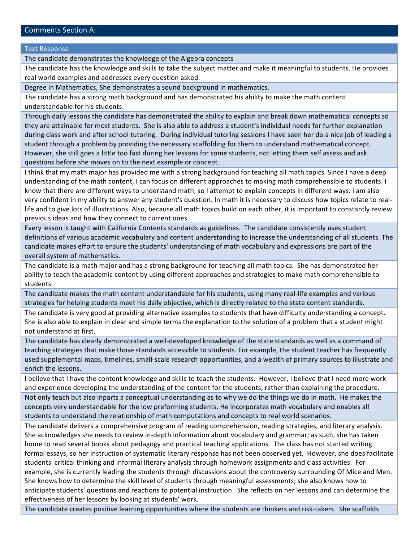#### Comments Section A:

**Text Response** 

The candidate demonstrates the knowledge of the Algebra concepts

The candidate has the knowledge and skills to take the subject matter and make it meaningful to students. He provides real world examples and addresses every question asked.

Degree in Mathematics, She demonstrates a sound background in mathematics.

The candidate has a strong math background and has demonstrated his ability to make the math content understandable for his students.

Through daily lessons the candidate has demonstrated the ability to explain and break down mathematical concepts so they are attainable for most students. She is also able to address a student's individual needs for further explanation during class work and after school tutoring. During individual tutoring sessions I have seen her do a nice job of leading a student through a problem by providing the necessary scaffolding for them to understand mathematical concept. However, she still goes a little too fast during her lessons for some students, not letting them self assess and ask questions before she moves on to the next example or concept.

I think that my math major has provided me with a strong background for teaching all math topics. Since I have a deep understanding of the math content, I can focus on different approaches to making math comprehensible to students. I know that there are different ways to understand math, so I attempt to explain concepts in different ways. I am also very confident in my ability to answer any student's question. In math it is necessary to discuss how topics relate to reallife and to give lots of illustrations. Also, because all math topics build on each other, it is important to constantly review previous ideas and how they connect to current ones.

Every lesson is taught with California Contents standards as guidelines. The candidate consistently uses student definitions of various academic vocabulary and content understanding to increase the understanding of all students. The candidate makes effort to ensure the students' understanding of math vocabulary and expressions are part of the overall system of mathematics.

The candidate is a math major and has a strong background for teaching all math topics. She has demonstrated her ability to teach the academic content by using different approaches and strategies to make math comprehensible to students.

The candidate makes the math content understandable for his students, using many real-life examples and various strategies for helping students meet his daily objective, which is directly related to the state content standards.

The candidate is very good at providing alternative examples to students that have difficulty understanding a concept. She is also able to explain in clear and simple terms the explanation to the solution of a problem that a student might not understand at first.

The candidate has clearly demonstrated a well-developed knowledge of the state standards as well as a command of teaching strategies that make those standards accessible to students. For example, the student teacher has frequently used supplemental maps, timelines, small-scale research opportunities, and a wealth of primary sources to illustrate and enrich the lessons.

I believe that I have the content knowledge and skills to teach the students. However, I believe that I need more work and experience developing the understanding of the content for the students, rather than explaining the procedure.

Not only teach but also inparts a conceptual understanding as to why we do the things we do in math. He makes the concepts very understandable for the low preforming students. He incorporates math vocabulary and enables all students to understand the relationship of math computations and concepts to real world scenarios.

The candidate delivers a comprehensive program of reading comprehension, reading strategies, and literary analysis. She acknowledges she needs to review in-depth information about vocabulary and grammar; as such, she has taken home to read several books about pedagogy and practical teaching applications. The class has not started writing formal essays, so her instruction of systematic literary response has not been observed yet. However, she does facilitate students' critical thinking and informal literary analysis through homework assignments and class activities. For example, she is currently leading the students through discussions about the controversy surrounding Of Mice and Men. She knows how to determine the skill level of students through meaningful assessments; she also knows how to anticipate students' questions and reactions to potential instruction. She reflects on her lessons and can determine the effectiveness of her lessons by looking at students' work.

The candidate creates positive learning opportunities where the students are thinkers and risk-takers. She scaffolds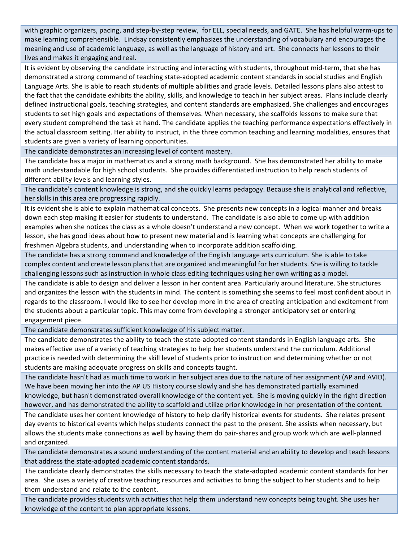with graphic organizers, pacing, and step-by-step review, for ELL, special needs, and GATE. She has helpful warm-ups to make learning comprehensible. Lindsay consistently emphasizes the understanding of vocabulary and encourages the meaning and use of academic language, as well as the language of history and art. She connects her lessons to their lives and makes it engaging and real.

It is evident by observing the candidate instructing and interacting with students, throughout mid-term, that she has demonstrated a strong command of teaching state-adopted academic content standards in social studies and English Language Arts. She is able to reach students of multiple abilities and grade levels. Detailed lessons plans also attest to the fact that the candidate exhibits the ability, skills, and knowledge to teach in her subject areas. Plans include clearly defined instructional goals, teaching strategies, and content standards are emphasized. She challenges and encourages students to set high goals and expectations of themselves. When necessary, she scaffolds lessons to make sure that every student comprehend the task at hand. The candidate applies the teaching performance expectations effectively in the actual classroom setting. Her ability to instruct, in the three common teaching and learning modalities, ensures that students are given a variety of learning opportunities.

The candidate demonstrates an increasing level of content mastery.

The candidate has a major in mathematics and a strong math background. She has demonstrated her ability to make math understandable for high school students. She provides differentiated instruction to help reach students of different ability levels and learning styles.

The candidate's content knowledge is strong, and she quickly learns pedagogy. Because she is analytical and reflective, her skills in this area are progressing rapidly.

It is evident she is able to explain mathematical concepts. She presents new concepts in a logical manner and breaks down each step making it easier for students to understand. The candidate is also able to come up with addition examples when she notices the class as a whole doesn't understand a new concept. When we work together to write a lesson, she has good ideas about how to present new material and is learning what concepts are challenging for freshmen Algebra students, and understanding when to incorporate addition scaffolding.

The candidate has a strong command and knowledge of the English language arts curriculum. She is able to take complex content and create lesson plans that are organized and meaningful for her students. She is willing to tackle challenging lessons such as instruction in whole class editing techniques using her own writing as a model.

The candidate is able to design and deliver a lesson in her content area. Particularly around literature. She structures and organizes the lesson with the students in mind. The content is something she seems to feel most confident about in regards to the classroom. I would like to see her develop more in the area of creating anticipation and excitement from the students about a particular topic. This may come from developing a stronger anticipatory set or entering engagement piece.

The candidate demonstrates sufficient knowledge of his subject matter.

The candidate demonstrates the ability to teach the state-adopted content standards in English language arts. She makes effective use of a variety of teaching strategies to help her students understand the curriculum. Additional practice is needed with determining the skill level of students prior to instruction and determining whether or not students are making adequate progress on skills and concepts taught.

The candidate hasn't had as much time to work in her subject area due to the nature of her assignment (AP and AVID). We have been moving her into the AP US History course slowly and she has demonstrated partially examined knowledge, but hasn't demonstrated overall knowledge of the content yet. She is moving quickly in the right direction however, and has demonstrated the ability to scaffold and utilize prior knowledge in her presentation of the content.

The candidate uses her content knowledge of history to help clarify historical events for students. She relates present day events to historical events which helps students connect the past to the present. She assists when necessary, but allows the students make connections as well by having them do pair-shares and group work which are well-planned and organized.

The candidate demonstrates a sound understanding of the content material and an ability to develop and teach lessons that address the state-adopted academic content standards.

The candidate clearly demonstrates the skills necessary to teach the state-adopted academic content standards for her area. She uses a variety of creative teaching resources and activities to bring the subject to her students and to help them understand and relate to the content.

The candidate provides students with activities that help them understand new concepts being taught. She uses her knowledge of the content to plan appropriate lessons.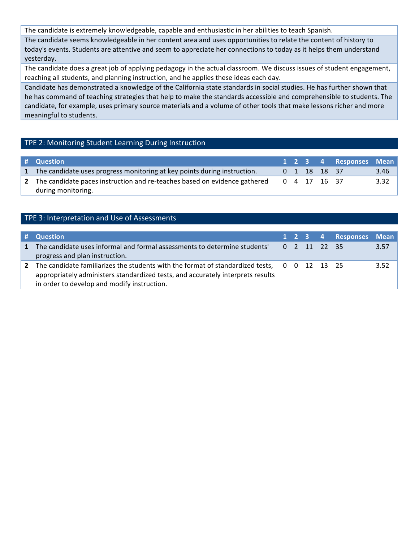The candidate is extremely knowledgeable, capable and enthusiastic in her abilities to teach Spanish.

The candidate seems knowledgeable in her content area and uses opportunities to relate the content of history to today's events. Students are attentive and seem to appreciate her connections to today as it helps them understand yesterday.

The candidate does a great job of applying pedagogy in the actual classroom. We discuss issues of student engagement, reaching all students, and planning instruction, and he applies these ideas each day.

Candidate has demonstrated a knowledge of the California state standards in social studies. He has further shown that he has command of teaching strategies that help to make the standards accessible and comprehensible to students. The candidate, for example, uses primary source materials and a volume of other tools that make lessons richer and more meaningful to students.

### TPE 2: Monitoring Student Learning During Instruction

| # Question                                                                                        |  |              | 1 2 3 4 Responses Mean |      |
|---------------------------------------------------------------------------------------------------|--|--------------|------------------------|------|
| 1 The candidate uses progress monitoring at key points during instruction.                        |  | 0 1 18 18 37 |                        | 3.46 |
| 2 The candidate paces instruction and re-teaches based on evidence gathered<br>during monitoring. |  | 0 4 17 16 37 |                        | 3.32 |

#### TPE 3: Interpretation and Use of Assessments

|              | # Question                                                                                                                                                                                                                    |  |              | 1 2 3 4 Responses Mean |      |
|--------------|-------------------------------------------------------------------------------------------------------------------------------------------------------------------------------------------------------------------------------|--|--------------|------------------------|------|
| $\mathbf{1}$ | The candidate uses informal and formal assessments to determine students'<br>progress and plan instruction.                                                                                                                   |  | 0 2 11 22 35 |                        | 3.57 |
| $\mathbf{2}$ | The candidate familiarizes the students with the format of standardized tests, 0 0 12 13 25<br>appropriately administers standardized tests, and accurately interprets results<br>in order to develop and modify instruction. |  |              |                        | 3.52 |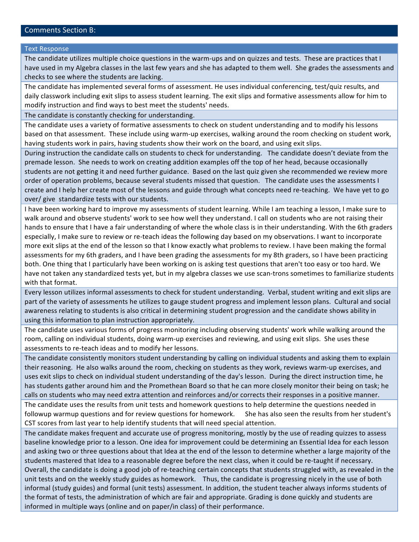#### Comments Section B:

#### **Text Response**

The candidate utilizes multiple choice questions in the warm-ups and on quizzes and tests. These are practices that I have used in my Algebra classes in the last few years and she has adapted to them well. She grades the assessments and checks to see where the students are lacking.

The candidate has implemented several forms of assessment. He uses individual conferencing, test/quiz results, and daily classwork including exit slips to assess student learning. The exit slips and formative assessments allow for him to modify instruction and find ways to best meet the students' needs.

The candidate is constantly checking for understanding.

The candidate uses a variety of formative assessments to check on student understanding and to modify his lessons based on that assessment. These include using warm-up exercises, walking around the room checking on student work, having students work in pairs, having students show their work on the board, and using exit slips.

During instruction the candidate calls on students to check for understanding. The candidate doesn't deviate from the premade lesson. She needs to work on creating addition examples off the top of her head, because occasionally students are not getting it and need further guidance. Based on the last quiz given she recommended we review more order of operation problems, because several students missed that question. The candidate uses the assessments I create and I help her create most of the lessons and guide through what concepts need re-teaching. We have yet to go over/ give standardize tests with our students.

I have been working hard to improve my assessments of student learning. While I am teaching a lesson, I make sure to walk around and observe students' work to see how well they understand. I call on students who are not raising their hands to ensure that I have a fair understanding of where the whole class is in their understanding. With the 6th graders especially, I make sure to review or re-teach ideas the following day based on my observations. I want to incorporate more exit slips at the end of the lesson so that I know exactly what problems to review. I have been making the formal assessments for my 6th graders, and I have been grading the assessments for my 8th graders, so I have been practicing both. One thing that I particularly have been working on is asking test questions that aren't too easy or too hard. We have not taken any standardized tests yet, but in my algebra classes we use scan-trons sometimes to familiarize students with that format.

Every lesson utilizes informal assessments to check for student understanding. Verbal, student writing and exit slips are part of the variety of assessments he utilizes to gauge student progress and implement lesson plans. Cultural and social awareness relating to students is also critical in determining student progression and the candidate shows ability in using this information to plan instruction appropriately.

The candidate uses various forms of progress monitoring including observing students' work while walking around the room, calling on individual students, doing warm-up exercises and reviewing, and using exit slips. She uses these assessments to re-teach ideas and to modify her lessons.

The candidate consistently monitors student understanding by calling on individual students and asking them to explain their reasoning. He also walks around the room, checking on students as they work, reviews warm-up exercises, and uses exit slips to check on individual student understanding of the day's lesson. During the direct instruction time, he has students gather around him and the Promethean Board so that he can more closely monitor their being on task; he calls on students who may need extra attention and reinforces and/or corrects their responses in a positive manner. The candidate uses the results from unit tests and homework questions to help determine the questions needed in

followup warmup questions and for review questions for homework. She has also seen the results from her student's CST scores from last year to help identify students that will need special attention.

The candidate makes frequent and accurate use of progress monitoring, mostly by the use of reading quizzes to assess baseline knowledge prior to a lesson. One idea for improvement could be determining an Essential Idea for each lesson and asking two or three questions about that Idea at the end of the lesson to determine whether a large majority of the students mastered that Idea to a reasonable degree before the next class, when it could be re-taught if necessary. Overall, the candidate is doing a good job of re-teaching certain concepts that students struggled with, as revealed in the unit tests and on the weekly study guides as homework. Thus, the candidate is progressing nicely in the use of both informal (study guides) and formal (unit tests) assessment. In addition, the student teacher always informs students of the format of tests, the administration of which are fair and appropriate. Grading is done quickly and students are informed in multiple ways (online and on paper/in class) of their performance.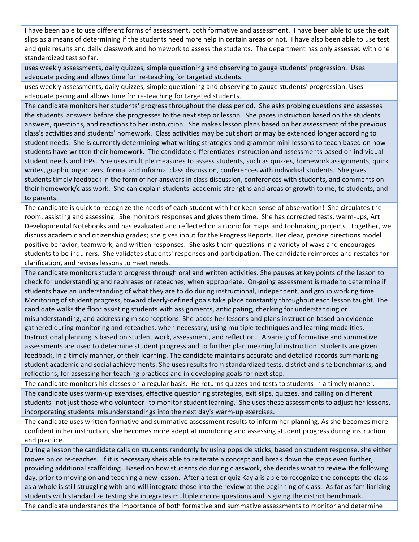I have been able to use different forms of assessment, both formative and assessment. I have been able to use the exit slips as a means of determining if the students need more help in certain areas or not. I have also been able to use test and quiz results and daily classwork and homework to assess the students. The department has only assessed with one standardized test so far.

uses weekly assessments, daily quizzes, simple questioning and observing to gauge students' progression. Uses adequate pacing and allows time for re-teaching for targeted students.

uses weekly assessments, daily quizzes, simple questioning and observing to gauge students' progression. Uses adequate pacing and allows time for re-teaching for targeted students.

The candidate monitors her students' progress throughout the class period. She asks probing questions and assesses the students' answers before she progresses to the next step or lesson. She paces instruction based on the students' answers, questions, and reactions to her instruction. She makes lesson plans based on her assessment of the previous class's activities and students' homework. Class activities may be cut short or may be extended longer according to student needs. She is currently determining what writing strategies and grammar mini-lessons to teach based on how students have written their homework. The candidate differentiates instruction and assessments based on individual student needs and IEPs. She uses multiple measures to assess students, such as quizzes, homework assignments, quick writes, graphic organizers, formal and informal class discussion, conferences with individual students. She gives students timely feedback in the form of her answers in class discussion, conferences with students, and comments on their homework/class work. She can explain students' academic strengths and areas of growth to me, to students, and to parents.

The candidate is quick to recognize the needs of each student with her keen sense of observation! She circulates the room, assisting and assessing. She monitors responses and gives them time. She has corrected tests, warm-ups, Art Developmental Notebooks and has evaluated and reflected on a rubric for maps and toolmaking projects. Together, we discuss academic and citizenship grades; she gives input for the Progress Reports. Her clear, precise directions model positive behavior, teamwork, and written responses. She asks them questions in a variety of ways and encourages students to be inquirers. She validates students' responses and participation. The candidate reinforces and restates for clarification, and revises lessons to meet needs.

The candidate monitors student progress through oral and written activities. She pauses at key points of the lesson to check for understanding and rephrases or reteaches, when appropriate. On-going assessment is made to determine if students have an understanding of what they are to do during instructional, independent, and group working time. Monitoring of student progress, toward clearly-defined goals take place constantly throughout each lesson taught. The candidate walks the floor assisting students with assignments, anticipating, checking for understanding or misunderstanding, and addressing misconceptions. She paces her lessons and plans instruction based on evidence gathered during monitoring and reteaches, when necessary, using multiple techniques and learning modalities. Instructional planning is based on student work, assessment, and reflection. A variety of formative and summative assessments are used to determine student progress and to further plan meaningful instruction. Students are given feedback, in a timely manner, of their learning. The candidate maintains accurate and detailed records summarizing student academic and social achievements. She uses results from standardized tests, district and site benchmarks, and reflections, for assessing her teaching practices and in developing goals for next step.

The candidate monitors his classes on a regular basis. He returns quizzes and tests to students in a timely manner. The candidate uses warm-up exercises, effective questioning strategies, exit slips, quizzes, and calling on different students--not just those who volunteer--to monitor student learning. She uses these assessments to adjust her lessons, incorporating students' misunderstandings into the next day's warm-up exercises.

The candidate uses written formative and summative assessment results to inform her planning. As she becomes more confident in her instruction, she becomes more adept at monitoring and assessing student progress during instruction and practice.

During a lesson the candidate calls on students randomly by using popsicle sticks, based on student response, she either moves on or re-teaches. If it is necessary sheis able to reiterate a concept and break down the steps even further, providing additional scaffolding. Based on how students do during classwork, she decides what to review the following day, prior to moving on and teaching a new lesson. After a test or quiz Kayla is able to recognize the concepts the class as a whole is still struggling with and will integrate those into the review at the beginning of class. As far as familiarizing students with standardize testing she integrates multiple choice questions and is giving the district benchmark. The candidate understands the importance of both formative and summative assessments to monitor and determine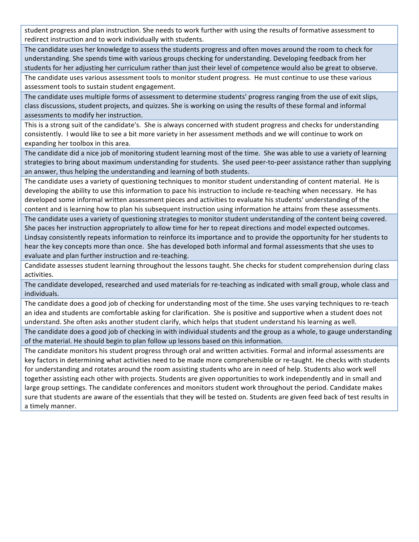student progress and plan instruction. She needs to work further with using the results of formative assessment to redirect instruction and to work individually with students.

The candidate uses her knowledge to assess the students progress and often moves around the room to check for understanding. She spends time with various groups checking for understanding. Developing feedback from her students for her adjusting her curriculum rather than just their level of competence would also be great to observe.

The candidate uses various assessment tools to monitor student progress. He must continue to use these various assessment tools to sustain student engagement.

The candidate uses multiple forms of assessment to determine students' progress ranging from the use of exit slips, class discussions, student projects, and quizzes. She is working on using the results of these formal and informal assessments to modify her instruction.

This is a strong suit of the candidate's. She is always concerned with student progress and checks for understanding consistently. I would like to see a bit more variety in her assessment methods and we will continue to work on expanding her toolbox in this area.

The candidate did a nice job of monitoring student learning most of the time. She was able to use a variety of learning strategies to bring about maximum understanding for students. She used peer-to-peer assistance rather than supplying an answer, thus helping the understanding and learning of both students.

The candidate uses a variety of questioning techniques to monitor student understanding of content material. He is developing the ability to use this information to pace his instruction to include re-teaching when necessary. He has developed some informal written assessment pieces and activities to evaluate his students' understanding of the content and is learning how to plan his subsequent instruction using information he attains from these assessments.

The candidate uses a variety of questioning strategies to monitor student understanding of the content being covered. She paces her instruction appropriately to allow time for her to repeat directions and model expected outcomes. Lindsay consistently repeats information to reinforce its importance and to provide the opportunity for her students to hear the key concepts more than once. She has developed both informal and formal assessments that she uses to evaluate and plan further instruction and re-teaching.

Candidate assesses student learning throughout the lessons taught. She checks for student comprehension during class activities.

The candidate developed, researched and used materials for re-teaching as indicated with small group, whole class and individuals.

The candidate does a good job of checking for understanding most of the time. She uses varying techniques to re-teach an idea and students are comfortable asking for clarification. She is positive and supportive when a student does not understand. She often asks another student clarify, which helps that student understand his learning as well.

The candidate does a good job of checking in with individual students and the group as a whole, to gauge understanding of the material. He should begin to plan follow up lessons based on this information.

The candidate monitors his student progress through oral and written activities. Formal and informal assessments are key factors in determining what activities need to be made more comprehensible or re-taught. He checks with students for understanding and rotates around the room assisting students who are in need of help. Students also work well together assisting each other with projects. Students are given opportunities to work independently and in small and large group settings. The candidate conferences and monitors student work throughout the period. Candidate makes sure that students are aware of the essentials that they will be tested on. Students are given feed back of test results in a timely manner.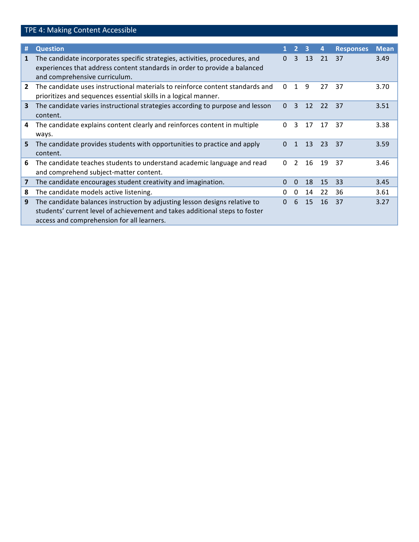|                | TPE 4: Making Content Accessible                                                                                                                                                                        |          |                |    |    |                  |             |
|----------------|---------------------------------------------------------------------------------------------------------------------------------------------------------------------------------------------------------|----------|----------------|----|----|------------------|-------------|
|                |                                                                                                                                                                                                         |          |                |    |    |                  |             |
| #              | <b>Question</b>                                                                                                                                                                                         | 1.       | $\overline{2}$ | 3  | 4  | <b>Responses</b> | <b>Mean</b> |
| $\mathbf{1}$   | The candidate incorporates specific strategies, activities, procedures, and<br>experiences that address content standards in order to provide a balanced<br>and comprehensive curriculum.               | $\Omega$ | 3              | 13 | 21 | 37               | 3.49        |
| $\overline{2}$ | The candidate uses instructional materials to reinforce content standards and<br>prioritizes and sequences essential skills in a logical manner.                                                        | 0        | 1              | 9  | 27 | 37               | 3.70        |
| $\mathbf{3}$   | The candidate varies instructional strategies according to purpose and lesson<br>content.                                                                                                               | 0        | 3              | 12 | 22 | 37               | 3.51        |
| 4              | The candidate explains content clearly and reinforces content in multiple<br>ways.                                                                                                                      | $\Omega$ | 3              | 17 | 17 | 37               | 3.38        |
| 5              | The candidate provides students with opportunities to practice and apply<br>content.                                                                                                                    | 0        | 1              | 13 | 23 | 37               | 3.59        |
| 6              | The candidate teaches students to understand academic language and read<br>and comprehend subject-matter content.                                                                                       | $\Omega$ | 2              | 16 | 19 | 37               | 3.46        |
| 7              | The candidate encourages student creativity and imagination.                                                                                                                                            | 0        | $\Omega$       | 18 | 15 | -33              | 3.45        |
| 8              | The candidate models active listening.                                                                                                                                                                  | 0        | 0              | 14 | 22 | 36               | 3.61        |
| 9              | The candidate balances instruction by adjusting lesson designs relative to<br>students' current level of achievement and takes additional steps to foster<br>access and comprehension for all learners. | 0        | 6              | 15 | 16 | 37               | 3.27        |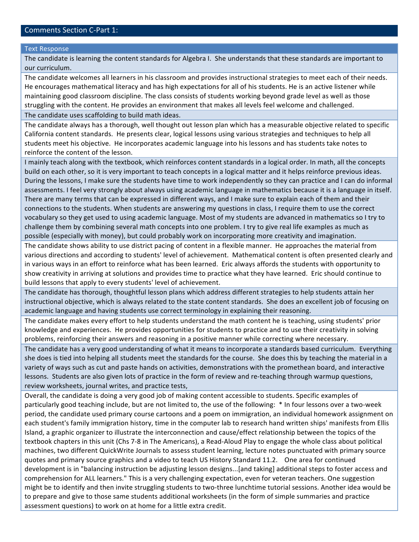#### **Text Response**

The candidate is learning the content standards for Algebra I. She understands that these standards are important to our curriculum.

The candidate welcomes all learners in his classroom and provides instructional strategies to meet each of their needs. He encourages mathematical literacy and has high expectations for all of his students. He is an active listener while maintaining good classroom discipline. The class consists of students working beyond grade level as well as those struggling with the content. He provides an environment that makes all levels feel welcome and challenged. The candidate uses scaffolding to build math ideas.

The candidate always has a thorough, well thought out lesson plan which has a measurable objective related to specific California content standards. He presents clear, logical lessons using various strategies and techniques to help all students meet his objective. He incorporates academic language into his lessons and has students take notes to reinforce the content of the lesson.

I mainly teach along with the textbook, which reinforces content standards in a logical order. In math, all the concepts build on each other, so it is very important to teach concepts in a logical matter and it helps reinforce previous ideas. During the lessons, I make sure the students have time to work independently so they can practice and I can do informal assessments. I feel very strongly about always using academic language in mathematics because it is a language in itself. There are many terms that can be expressed in different ways, and I make sure to explain each of them and their connections to the students. When students are answering my questions in class, I require them to use the correct vocabulary so they get used to using academic language. Most of my students are advanced in mathematics so I try to challenge them by combining several math concepts into one problem. I try to give real life examples as much as possible (especially with money), but could probably work on incorporating more creativity and imagination.

The candidate shows ability to use district pacing of content in a flexible manner. He approaches the material from various directions and according to students' level of achievement. Mathematical content is often presented clearly and in various ways in an effort to reinforce what has been learned. Eric always affords the students with opportunity to show creativity in arriving at solutions and provides time to practice what they have learned. Eric should continue to build lessons that apply to every students' level of achievement.

The candidate has thorough, thoughtful lesson plans which address different strategies to help students attain her instructional objective, which is always related to the state content standards. She does an excellent job of focusing on academic language and having students use correct terminology in explaining their reasoning.

The candidate makes every effort to help students understand the math content he is teaching, using students' prior knowledge and experiences. He provides opportunities for students to practice and to use their creativity in solving problems, reinforcing their answers and reasoning in a positive manner while correcting where necessary.

The candidate has a very good understanding of what it means to incorporate a standards based curriculum. Everything she does is tied into helping all students meet the standards for the course. She does this by teaching the material in a variety of ways such as cut and paste hands on activities, demonstrations with the promethean board, and interactive lessons. Students are also given lots of practice in the form of review and re-teaching through warmup questions, review worksheets, journal writes, and practice tests,

Overall, the candidate is doing a very good job of making content accessible to students. Specific examples of particularly good teaching include, but are not limited to, the use of the following: \* In four lessons over a two-week period, the candidate used primary course cartoons and a poem on immigration, an individual homework assignment on each student's family immigration history, time in the computer lab to research hand written ships' manifests from Ellis Island, a graphic organizer to illustrate the interconnection and cause/effect relationship between the topics of the textbook chapters in this unit (Chs 7-8 in The Americans), a Read-Aloud Play to engage the whole class about political machines, two different QuickWrite Journals to assess student learning, lecture notes punctuated with primary source quotes and primary source graphics and a video to teach US History Standard 11.2. One area for continued development is in "balancing instruction be adjusting lesson designs...[and taking] additional steps to foster access and comprehension for ALL learners." This is a very challenging expectation, even for veteran teachers. One suggestion might be to identify and then invite struggling students to two-three lunchtime tutorial sessions. Another idea would be to prepare and give to those same students additional worksheets (in the form of simple summaries and practice assessment questions) to work on at home for a little extra credit.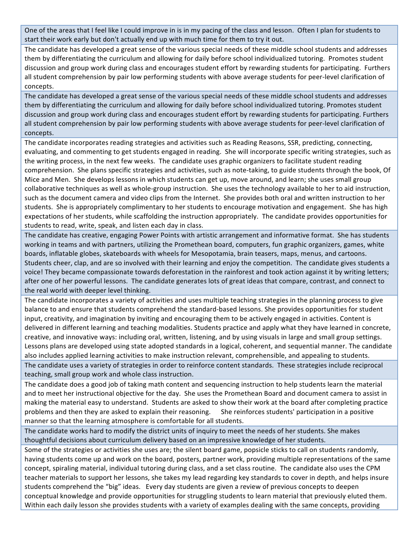One of the areas that I feel like I could improve in is in my pacing of the class and lesson. Often I plan for students to start their work early but don't actually end up with much time for them to try it out.

The candidate has developed a great sense of the various special needs of these middle school students and addresses them by differentiating the curriculum and allowing for daily before school individualized tutoring. Promotes student discussion and group work during class and encourages student effort by rewarding students for participating. Furthers all student comprehension by pair low performing students with above average students for peer-level clarification of concepts.

The candidate has developed a great sense of the various special needs of these middle school students and addresses them by differentiating the curriculum and allowing for daily before school individualized tutoring. Promotes student discussion and group work during class and encourages student effort by rewarding students for participating. Furthers all student comprehension by pair low performing students with above average students for peer-level clarification of concepts.

The candidate incorporates reading strategies and activities such as Reading Reasons, SSR, predicting, connecting, evaluating, and commenting to get students engaged in reading. She will incorporate specific writing strategies, such as the writing process, in the next few weeks. The candidate uses graphic organizers to facilitate student reading comprehension. She plans specific strategies and activities, such as note-taking, to guide students through the book, Of Mice and Men. She develops lessons in which students can get up, move around, and learn; she uses small group collaborative techniques as well as whole-group instruction. She uses the technology available to her to aid instruction, such as the document camera and video clips from the Internet. She provides both oral and written instruction to her students. She is appropriately complimentary to her students to encourage motivation and engagement. She has high expectations of her students, while scaffolding the instruction appropriately. The candidate provides opportunities for students to read, write, speak, and listen each day in class.

The candidate has creative, engaging Power Points with artistic arrangement and informative format. She has students working in teams and with partners, utilizing the Promethean board, computers, fun graphic organizers, games, white boards, inflatable globes, skateboards with wheels for Mesopotamia, brain teasers, maps, menus, and cartoons. Students cheer, clap, and are so involved with their learning and enjoy the competition. The candidate gives students a voice! They became compassionate towards deforestation in the rainforest and took action against it by writing letters; after one of her powerful lessons. The candidate generates lots of great ideas that compare, contrast, and connect to the real world with deeper level thinking.

The candidate incorporates a variety of activities and uses multiple teaching strategies in the planning process to give balance to and ensure that students comprehend the standard-based lessons. She provides opportunities for student input, creativity, and imagination by inviting and encouraging them to be actively engaged in activities. Content is delivered in different learning and teaching modalities. Students practice and apply what they have learned in concrete, creative, and innovative ways: including oral, written, listening, and by using visuals in large and small group settings. Lessons plans are developed using state adopted standards in a logical, coherent, and sequential manner. The candidate also includes applied learning activities to make instruction relevant, comprehensible, and appealing to students. The candidate uses a variety of strategies in order to reinforce content standards. These strategies include reciprocal

teaching, small group work and whole class instruction.

The candidate does a good job of taking math content and sequencing instruction to help students learn the material and to meet her instructional objective for the day. She uses the Promethean Board and document camera to assist in making the material easy to understand. Students are asked to show their work at the board after completing practice problems and then they are asked to explain their reasoning. (She reinforces students' participation in a positive) manner so that the learning atmosphere is comfortable for all students.

The candidate works hard to modify the district units of inquiry to meet the needs of her students. She makes thoughtful decisions about curriculum delivery based on an impressive knowledge of her students.

Some of the strategies or activities she uses are; the silent board game, popsicle sticks to call on students randomly, having students come up and work on the board, posters, partner work, providing multiple representations of the same concept, spiraling material, individual tutoring during class, and a set class routine. The candidate also uses the CPM teacher materials to support her lessons, she takes my lead regarding key standards to cover in depth, and helps insure students comprehend the "big" ideas. Every day students are given a review of previous concepts to deepen conceptual knowledge and provide opportunities for struggling students to learn material that previously eluted them. Within each daily lesson she provides students with a variety of examples dealing with the same concepts, providing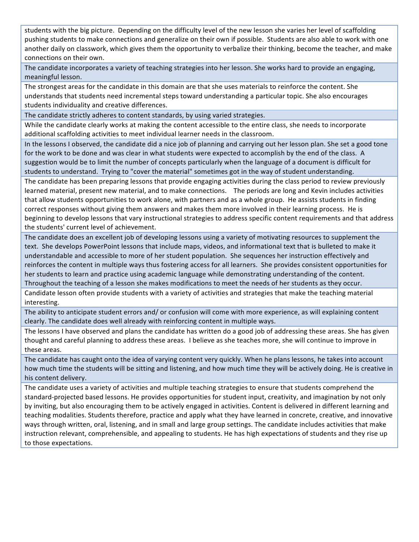students with the big picture. Depending on the difficulty level of the new lesson she varies her level of scaffolding pushing students to make connections and generalize on their own if possible. Students are also able to work with one another daily on classwork, which gives them the opportunity to verbalize their thinking, become the teacher, and make connections on their own.

The candidate incorporates a variety of teaching strategies into her lesson. She works hard to provide an engaging, meaningful lesson.

The strongest areas for the candidate in this domain are that she uses materials to reinforce the content. She understands that students need incremental steps toward understanding a particular topic. She also encourages students individuality and creative differences.

The candidate strictly adheres to content standards, by using varied strategies.

While the candidate clearly works at making the content accessible to the entire class, she needs to incorporate additional scaffolding activities to meet individual learner needs in the classroom.

In the lessons I observed, the candidate did a nice job of planning and carrying out her lesson plan. She set a good tone for the work to be done and was clear in what students were expected to accomplish by the end of the class. A suggestion would be to limit the number of concepts particularly when the language of a document is difficult for students to understand. Trying to "cover the material" sometimes got in the way of student understanding.

The candidate has been preparing lessons that provide engaging activities during the class period to review previously learned material, present new material, and to make connections. The periods are long and Kevin includes activities that allow students opportunities to work alone, with partners and as a whole group. He assists students in finding correct responses without giving them answers and makes them more involved in their learning process. He is beginning to develop lessons that vary instructional strategies to address specific content requirements and that address the students' current level of achievement.

The candidate does an excellent job of developing lessons using a variety of motivating resources to supplement the text. She develops PowerPoint lessons that include maps, videos, and informational text that is bulleted to make it understandable and accessible to more of her student population. She sequences her instruction effectively and reinforces the content in multiple ways thus fostering access for all learners. She provides consistent opportunities for her students to learn and practice using academic language while demonstrating understanding of the content. Throughout the teaching of a lesson she makes modifications to meet the needs of her students as they occur.

Candidate lesson often provide students with a variety of activities and strategies that make the teaching material interesting.

The ability to anticipate student errors and/ or confusion will come with more experience, as will explaining content clearly. The candidate does well already with reinforcing content in multiple ways.

The lessons I have observed and plans the candidate has written do a good job of addressing these areas. She has given thought and careful planning to address these areas. I believe as she teaches more, she will continue to improve in these areas.

The candidate has caught onto the idea of varying content very quickly. When he plans lessons, he takes into account how much time the students will be sitting and listening, and how much time they will be actively doing. He is creative in his content delivery.

The candidate uses a variety of activities and multiple teaching strategies to ensure that students comprehend the standard-projected based lessons. He provides opportunities for student input, creativity, and imagination by not only by inviting, but also encouraging them to be actively engaged in activities. Content is delivered in different learning and teaching modalities. Students therefore, practice and apply what they have learned in concrete, creative, and innovative ways through written, oral, listening, and in small and large group settings. The candidate includes activities that make instruction relevant, comprehensible, and appealing to students. He has high expectations of students and they rise up to those expectations.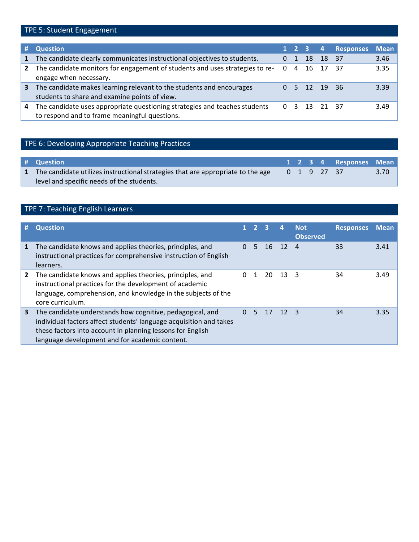## TPE 5: Student Engagement

| #            | <b>Question</b>                                                                                                             |          |    |              |       | 1 2 3 4 Responses | <b>Mean</b> |
|--------------|-----------------------------------------------------------------------------------------------------------------------------|----------|----|--------------|-------|-------------------|-------------|
| $\mathbf{1}$ | The candidate clearly communicates instructional objectives to students.                                                    | 0        | -1 | 18           | 18 37 |                   | 3.46        |
| $\mathbf{2}$ | The candidate monitors for engagement of students and uses strategies to re-<br>engage when necessary.                      | $\Omega$ | 4  | 16           | 17    | - 37              | 3.35        |
| 3            | The candidate makes learning relevant to the students and encourages<br>students to share and examine points of view.       |          |    | 5 12 19 36   |       |                   | 3.39        |
| 4            | The candidate uses appropriate questioning strategies and teaches students<br>to respond and to frame meaningful questions. |          |    | 0 3 13 21 37 |       |                   | 3.49        |

## TPE 6: Developing Appropriate Teaching Practices

| # Question                                                                        |  |             | 1 2 3 4 Responses Mean |                |
|-----------------------------------------------------------------------------------|--|-------------|------------------------|----------------|
| 1 The candidate utilizes instructional strategies that are appropriate to the age |  | 0 1 9 27 37 |                        | $3.70^{\circ}$ |
| level and specific needs of the students.                                         |  |             |                        |                |

## TPE 7: Teaching English Learners

| #            | <b>Question</b>                                                                                                                                                                                                                                 |          | $2 \overline{3}$ |         | 4            | <b>Not</b><br><b>Observed</b> | <b>Responses</b> | <b>Mean</b> |
|--------------|-------------------------------------------------------------------------------------------------------------------------------------------------------------------------------------------------------------------------------------------------|----------|------------------|---------|--------------|-------------------------------|------------------|-------------|
| 1            | The candidate knows and applies theories, principles, and<br>instructional practices for comprehensive instruction of English<br>learners.                                                                                                      | $\Omega$ | 5.               |         | 16 12 4      |                               | 33               | 3.41        |
| $\mathbf{2}$ | The candidate knows and applies theories, principles, and<br>instructional practices for the development of academic<br>language, comprehension, and knowledge in the subjects of the<br>core curriculum.                                       | $\Omega$ |                  | 20.     | $13 \quad 3$ |                               | 34               | 3.49        |
| 3            | The candidate understands how cognitive, pedagogical, and<br>individual factors affect students' language acquisition and takes<br>these factors into account in planning lessons for English<br>language development and for academic content. | $\Omega$ | $-5$             | 17 12 3 |              |                               | 34               | 3.35        |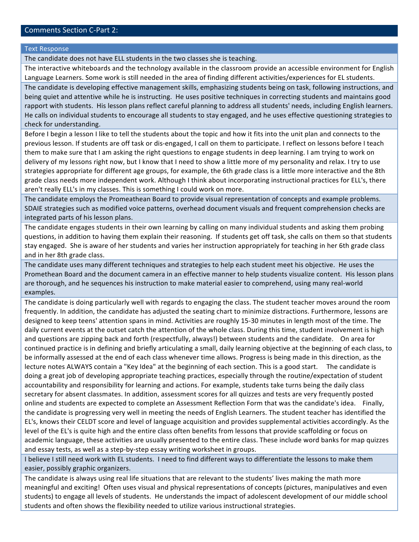### Comments Section C-Part 2:

**Text Response** 

The candidate does not have ELL students in the two classes she is teaching.

The interactive whiteboards and the technology available in the classroom provide an accessible environment for English Language Learners. Some work is still needed in the area of finding different activities/experiences for EL students.

The candidate is developing effective management skills, emphasizing students being on task, following instructions, and being quiet and attentive while he is instructing. He uses positive techniques in correcting students and maintains good rapport with students. His lesson plans reflect careful planning to address all students' needs, including English learners. He calls on individual students to encourage all students to stay engaged, and he uses effective questioning strategies to check for understanding.

Before I begin a lesson I like to tell the students about the topic and how it fits into the unit plan and connects to the previous lesson. If students are off task or dis-engaged, I call on them to participate. I reflect on lessons before I teach them to make sure that I am asking the right questions to engage students in deep learning. I am trying to work on delivery of my lessons right now, but I know that I need to show a little more of my personality and relax. I try to use strategies appropriate for different age groups, for example, the 6th grade class is a little more interactive and the 8th grade class needs more independent work. Although I think about incorporating instructional practices for ELL's, there aren't really ELL's in my classes. This is something I could work on more.

The candidate employs the Promeathean Board to provide visual representation of concepts and example problems. SDAIE strategies such as modified voice patterns, overhead document visuals and frequent comprehension checks are integrated parts of his lesson plans.

The candidate engages students in their own learning by calling on many individual students and asking them probing questions, in addition to having them explain their reasoning. If students get off task, she calls on them so that students stay engaged. She is aware of her students and varies her instruction appropriately for teaching in her 6th grade class and in her 8th grade class.

The candidate uses many different techniques and strategies to help each student meet his objective. He uses the Promethean Board and the document camera in an effective manner to help students visualize content. His lesson plans are thorough, and he sequences his instruction to make material easier to comprehend, using many real-world examples.

The candidate is doing particularly well with regards to engaging the class. The student teacher moves around the room frequently. In addition, the candidate has adjusted the seating chart to minimize distractions. Furthermore, lessons are designed to keep teens' attention spans in mind. Activities are roughly 15-30 minutes in length most of the time. The daily current events at the outset catch the attention of the whole class. During this time, student involvement is high and questions are zipping back and forth (respectfully, always!) between students and the candidate. On area for continued practice is in defining and briefly articulating a small, daily learning objective at the beginning of each class, to be informally assessed at the end of each class whenever time allows. Progress is being made in this direction, as the lecture notes ALWAYS contain a "Key Idea" at the beginning of each section. This is a good start. The candidate is doing a great job of developing appropriate teaching practices, especially through the routine/expectation of student accountability and responsibility for learning and actions. For example, students take turns being the daily class secretary for absent classmates. In addition, assessment scores for all quizzes and tests are very frequently posted online and students are expected to complete an Assessment Reflection Form that was the candidate's idea. Finally, the candidate is progressing very well in meeting the needs of English Learners. The student teacher has identified the EL's, knows their CELDT score and level of language acquisition and provides supplemental activities accordingly. As the level of the EL's is quite high and the entire class often benefits from lessons that provide scaffolding or focus on academic language, these activities are usually presented to the entire class. These include word banks for map quizzes and essay tests, as well as a step-by-step essay writing worksheet in groups.

I believe I still need work with EL students. I need to find different ways to differentiate the lessons to make them easier, possibly graphic organizers.

The candidate is always using real life situations that are relevant to the students' lives making the math more meaningful and exciting! Often uses visual and physical representations of concepts (pictures, manipulatives and even students) to engage all levels of students. He understands the impact of adolescent development of our middle school students and often shows the flexibility needed to utilize various instructional strategies.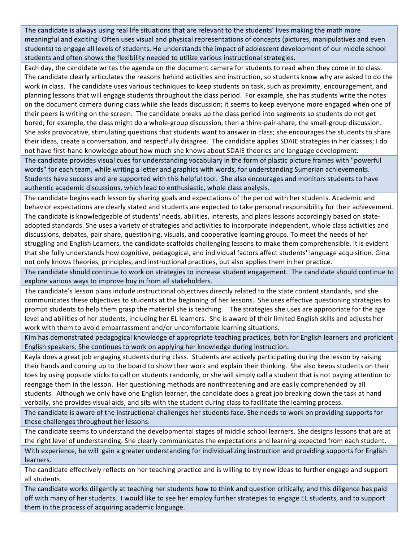The candidate is always using real life situations that are relevant to the students' lives making the math more meaningful and exciting! Often uses visual and physical representations of concepts (pictures, manipulatives and even students) to engage all levels of students. He understands the impact of adolescent development of our middle school students and often shows the flexibility needed to utilize various instructional strategies.

Each day, the candidate writes the agenda on the document camera for students to read when they come in to class. The candidate clearly articulates the reasons behind activities and instruction, so students know why are asked to do the work in class. The candidate uses various techniques to keep students on task, such as proximity, encouragement, and planning lessons that will engage students throughout the class period. For example, she has students write the notes on the document camera during class while she leads discussion; it seems to keep everyone more engaged when one of their peers is writing on the screen. The candidate breaks up the class period into segments so students do not get bored; for example, the class might do a whole-group discussion, then a think-pair-share, the small-group discussion. She asks provocative, stimulating questions that students want to answer in class; she encourages the students to share their ideas, create a conversation, and respectfully disagree. The candidate applies SDAIE strategies in her classes; I do not have first-hand knowledge about how much she knows about SDAIE theories and language development.

The candidate provides visual cues for understanding vocabulary in the form of plastic picture frames with "powerful words" for each team, while writing a letter and graphics with words, for understanding Sumerian achievements. Students have success and are supported with this helpful tool. She also encourages and monitors students to have authentic academic discussions, which lead to enthusiastic, whole class analysis.

The candidate begins each lesson by sharing goals and expectations of the period with her students. Academic and behavior expectations are clearly stated and students are expected to take personal responsibility for their achievement. The candidate is knowledgeable of students' needs, abilities, interests, and plans lessons accordingly based on stateadopted standards. She uses a variety of strategies and activities to incorporate independent, whole class activities and discussions, debates, pair share, questioning, visuals, and cooperative learning groups. To meet the needs of her struggling and English Learners, the candidate scaffolds challenging lessons to make them comprehensible. It is evident that she fully understands how cognitive, pedagogical, and individual factors affect students' language acquisition. Gina not only knows theories, principles, and instructional practices, but also applies them in her practice.

The candidate should continue to work on strategies to increase student engagement. The candidate should continue to explore various ways to improve buy in from all stakeholders.

The candidate's lesson plans include instructional objectives directly related to the state content standards, and she communicates these objectives to students at the beginning of her lessons. She uses effective questioning strategies to prompt students to help them grasp the material she is teaching. The strategies she uses are appropriate for the age level and abilities of her students, including her EL learners. She is aware of their limited English skills and adjusts her work with them to avoid embarrassment and/or uncomfortable learning situations.

Kim has demonstrated pedagogical knowledge of appropriate teaching practices, both for English learners and proficient English speakers. She continues to work on applying her knowledge during instruction.

Kayla does a great job engaging students during class. Students are actively participating during the lesson by raising their hands and coming up to the board to show their work and explain their thinking. She also keeps students on their toes by using popsicle sticks to call on students randomly, or she will simply call a student that is not paying attention to reengage them in the lesson. Her questioning methods are nonthreatening and are easily comprehended by all students. Although we only have one English learner, the candidate does a great job breaking down the task at hand verbally, she provides visual aids, and sits with the student during class to facilitate the learning process.

The candidate is aware of the instructional challenges her students face. She needs to work on providing supports for these challenges throughout her lessons.

The candidate seems to understand the developmental stages of middle school learners. She designs lessons that are at the right level of understanding. She clearly communicates the expectations and learning expected from each student. With experience, he will gain a greater understanding for individualizing instruction and providing supports for English learners.

The candidate effectively reflects on her teaching practice and is willing to try new ideas to further engage and support all students.

The candidate works diligently at teaching her students how to think and question critically, and this diligence has paid off with many of her students. I would like to see her employ further strategies to engage EL students, and to support them in the process of acquiring academic language.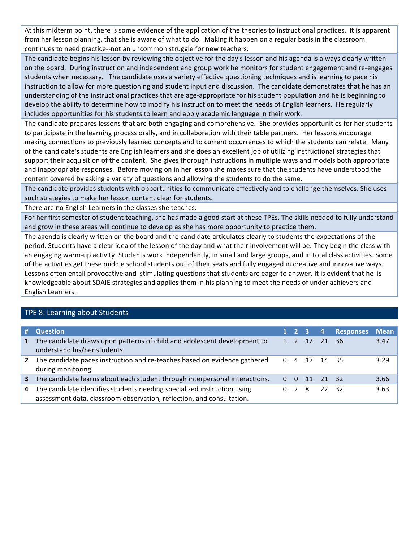At this midterm point, there is some evidence of the application of the theories to instructional practices. It is apparent from her lesson planning, that she is aware of what to do. Making it happen on a regular basis in the classroom continues to need practice--not an uncommon struggle for new teachers.

The candidate begins his lesson by reviewing the objective for the day's lesson and his agenda is always clearly written on the board. During instruction and independent and group work he monitors for student engagement and re-engages students when necessary. The candidate uses a variety effective questioning techniques and is learning to pace his instruction to allow for more questioning and student input and discussion. The candidate demonstrates that he has an understanding of the instructional practices that are age-appropriate for his student population and he is beginning to develop the ability to determine how to modify his instruction to meet the needs of English learners. He regularly includes opportunities for his students to learn and apply academic language in their work.

The candidate prepares lessons that are both engaging and comprehensive. She provides opportunities for her students to participate in the learning process orally, and in collaboration with their table partners. Her lessons encourage making connections to previously learned concepts and to current occurrences to which the students can relate. Many of the candidate's students are English learners and she does an excellent job of utilizing instructional strategies that support their acquisition of the content. She gives thorough instructions in multiple ways and models both appropriate and inappropriate responses. Before moving on in her lesson she makes sure that the students have understood the content covered by asking a variety of questions and allowing the students to do the same.

The candidate provides students with opportunities to communicate effectively and to challenge themselves. She uses such strategies to make her lesson content clear for students.

There are no English Learners in the classes she teaches.

For her first semester of student teaching, she has made a good start at these TPEs. The skills needed to fully understand and grow in these areas will continue to develop as she has more opportunity to practice them.

The agenda is clearly written on the board and the candidate articulates clearly to students the expectations of the period. Students have a clear idea of the lesson of the day and what their involvement will be. They begin the class with an engaging warm-up activity. Students work independently, in small and large groups, and in total class activities. Some of the activities get these middle school students out of their seats and fully engaged in creative and innovative ways. Lessons often entail provocative and stimulating questions that students are eager to answer. It is evident that he is knowledgeable about SDAIE strategies and applies them in his planning to meet the needs of under achievers and English Learners.

### TPE 8: Learning about Students

| #            | <b>Question</b>                                                                                                                                  |              |              | $1 \quad 2 \quad 3 \quad 4$ |            | <b>Responses</b> | <b>Mean</b> |
|--------------|--------------------------------------------------------------------------------------------------------------------------------------------------|--------------|--------------|-----------------------------|------------|------------------|-------------|
| $\mathbf{1}$ | The candidate draws upon patterns of child and adolescent development to<br>understand his/her students.                                         | $\mathbf{1}$ |              |                             | 2 12 21 36 |                  | 3.47        |
| 2            | The candidate paces instruction and re-teaches based on evidence gathered<br>during monitoring.                                                  | $\Omega$     |              |                             | 4 17 14 35 |                  | 3.29        |
| 3            | The candidate learns about each student through interpersonal interactions.                                                                      | $\Omega$     | $\Omega$     |                             | 11 21 32   |                  | 3.66        |
| 4            | The candidate identifies students needing specialized instruction using<br>assessment data, classroom observation, reflection, and consultation. | 0            | <sup>2</sup> | - 8                         | 22 32      |                  | 3.63        |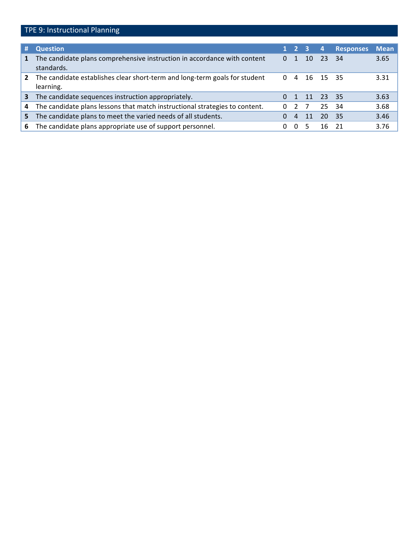## TPE 9: Instructional Planning

| #            | <b>Question</b>                                                                         |   | 2 <sub>3</sub> |     | $\overline{4}$ | <b>Responses</b> | <b>Mean</b> |
|--------------|-----------------------------------------------------------------------------------------|---|----------------|-----|----------------|------------------|-------------|
| $\mathbf{1}$ | The candidate plans comprehensive instruction in accordance with content<br>standards.  | 0 |                | 10  | 23             | 34               | 3.65        |
| $\mathbf{2}$ | The candidate establishes clear short-term and long-term goals for student<br>learning. | 0 | 4              |     | 16 15 35       |                  | 3.31        |
| 3            | The candidate sequences instruction appropriately.                                      |   |                | -11 | 23 35          |                  | 3.63        |
| 4            | The candidate plans lessons that match instructional strategies to content.             | 0 | 2              |     | 25             | -34              | 3.68        |
| 5.           | The candidate plans to meet the varied needs of all students.                           |   | 4              | 11  | 20             | -35              | 3.46        |
| 6.           | The candidate plans appropriate use of support personnel.                               | 0 | $\mathbf{0}$   |     | 16             | - 21             | 3.76        |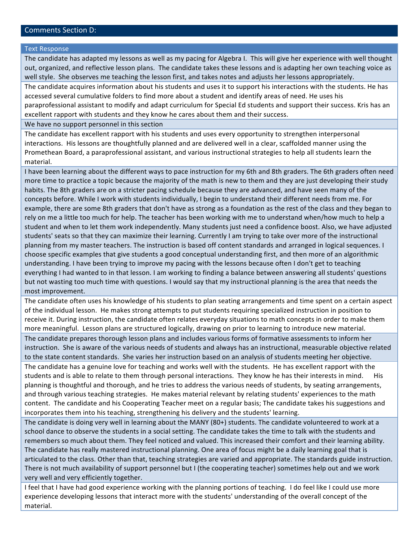### Comments Section D:

#### **Text Response**

The candidate has adapted my lessons as well as my pacing for Algebra I. This will give her experience with well thought out, organized, and reflective lesson plans. The candidate takes these lessons and is adapting her own teaching voice as well style. She observes me teaching the lesson first, and takes notes and adjusts her lessons appropriately.

The candidate acquires information about his students and uses it to support his interactions with the students. He has accessed several cumulative folders to find more about a student and identify areas of need. He uses his paraprofessional assistant to modify and adapt curriculum for Special Ed students and support their success. Kris has an excellent rapport with students and they know he cares about them and their success.

We have no support personnel in this section

The candidate has excellent rapport with his students and uses every opportunity to strengthen interpersonal interactions. His lessons are thoughtfully planned and are delivered well in a clear, scaffolded manner using the Promethean Board, a paraprofessional assistant, and various instructional strategies to help all students learn the material.

I have been learning about the different ways to pace instruction for my 6th and 8th graders. The 6th graders often need more time to practice a topic because the majority of the math is new to them and they are just developing their study habits. The 8th graders are on a stricter pacing schedule because they are advanced, and have seen many of the concepts before. While I work with students individually, I begin to understand their different needs from me. For example, there are some 8th graders that don't have as strong as a foundation as the rest of the class and they began to rely on me a little too much for help. The teacher has been working with me to understand when/how much to help a student and when to let them work independently. Many students just need a confidence boost. Also, we have adjusted students' seats so that they can maximize their learning. Currently I am trying to take over more of the instructional planning from my master teachers. The instruction is based off content standards and arranged in logical sequences. I choose specific examples that give students a good conceptual understanding first, and then more of an algorithmic understanding. I have been trying to improve my pacing with the lessons because often I don't get to teaching everything I had wanted to in that lesson. I am working to finding a balance between answering all students' questions but not wasting too much time with questions. I would say that my instructional planning is the area that needs the most improvement.

The candidate often uses his knowledge of his students to plan seating arrangements and time spent on a certain aspect of the individual lesson. He makes strong attempts to put students requiring specialized instruction in position to receive it. During instruction, the candidate often relates everyday situations to math concepts in order to make them more meaningful. Lesson plans are structured logically, drawing on prior to learning to introduce new material.

The candidate prepares thorough lesson plans and includes various forms of formative assessments to inform her instruction. She is aware of the various needs of students and always has an instructional, measurable objective related to the state content standards. She varies her instruction based on an analysis of students meeting her objective.

The candidate has a genuine love for teaching and works well with the students. He has excellent rapport with the students and is able to relate to them through personal interactions. They know he has their interests in mind. His planning is thoughtful and thorough, and he tries to address the various needs of students, by seating arrangements, and through various teaching strategies. He makes material relevant by relating students' experiences to the math content. The candidate and his Cooperating Teacher meet on a regular basis; The candidate takes his suggestions and incorporates them into his teaching, strengthening his delivery and the students' learning.

The candidate is doing very well in learning about the MANY (80+) students. The candidate volunteered to work at a school dance to observe the students in a social setting. The candidate takes the time to talk with the students and remembers so much about them. They feel noticed and valued. This increased their comfort and their learning ability. The candidate has really mastered instructional planning. One area of focus might be a daily learning goal that is articulated to the class. Other than that, teaching strategies are varied and appropriate. The standards guide instruction. There is not much availability of support personnel but I (the cooperating teacher) sometimes help out and we work very well and very efficiently together.

I feel that I have had good experience working with the planning portions of teaching. I do feel like I could use more experience developing lessons that interact more with the students' understanding of the overall concept of the material.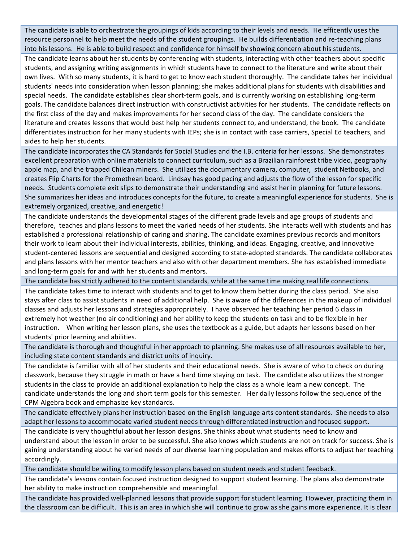The candidate is able to orchestrate the groupings of kids according to their levels and needs. He efficently uses the resource personnel to help meet the needs of the student groupings. He builds differentiation and re-teaching plans into his lessons. He is able to build respect and confidence for himself by showing concern about his students.

The candidate learns about her students by conferencing with students, interacting with other teachers about specific students, and assigning writing assignments in which students have to connect to the literature and write about their own lives. With so many students, it is hard to get to know each student thoroughly. The candidate takes her individual students' needs into consideration when lesson planning; she makes additional plans for students with disabilities and special needs. The candidate establishes clear short-term goals, and is currently working on establishing long-term goals. The candidate balances direct instruction with constructivist activities for her students. The candidate reflects on the first class of the day and makes improvements for her second class of the day. The candidate considers the literature and creates lessons that would best help her students connect to, and understand, the book. The candidate differentiates instruction for her many students with IEPs; she is in contact with case carriers, Special Ed teachers, and aides to help her students.

The candidate incorporates the CA Standards for Social Studies and the I.B. criteria for her lessons. She demonstrates excellent preparation with online materials to connect curriculum, such as a Brazilian rainforest tribe video, geography apple map, and the trapped Chilean miners. She utilizes the documentary camera, computer, student Netbooks, and creates Flip Charts for the Promethean board. Lindsay has good pacing and adjusts the flow of the lesson for specific needs. Students complete exit slips to demonstrate their understanding and assist her in planning for future lessons. She summarizes her ideas and introduces concepts for the future, to create a meaningful experience for students. She is extremely organized, creative, and energetic!

The candidate understands the developmental stages of the different grade levels and age groups of students and therefore, teaches and plans lessons to meet the varied needs of her students. She interacts well with students and has established a professional relationship of caring and sharing. The candidate examines previous records and monitors their work to learn about their individual interests, abilities, thinking, and ideas. Engaging, creative, and innovative student-centered lessons are sequential and designed according to state-adopted standards. The candidate collaborates and plans lessons with her mentor teachers and also with other department members. She has established immediate and long-term goals for and with her students and mentors.

The candidate has strictly adhered to the content standards, while at the same time making real life connections. The candidate takes time to interact with students and to get to know them better during the class period. She also stays after class to assist students in need of additional help. She is aware of the differences in the makeup of individual classes and adjusts her lessons and strategies appropriately. I have observed her teaching her period 6 class in extremely hot weather (no air conditioning) and her ability to keep the students on task and to be flexible in her instruction. When writing her lesson plans, she uses the textbook as a guide, but adapts her lessons based on her

students' prior learning and abilities.

The candidate is thorough and thoughtful in her approach to planning. She makes use of all resources available to her, including state content standards and district units of inquiry.

The candidate is familiar with all of her students and their educational needs. She is aware of who to check on during classwork, because they struggle in math or have a hard time staying on task. The candidate also utilizes the stronger students in the class to provide an additional explanation to help the class as a whole learn a new concept. The candidate understands the long and short term goals for this semester. Her daily lessons follow the sequence of the CPM Algebra book and emphasize key standards.

The candidate effectively plans her instruction based on the English language arts content standards. She needs to also adapt her lessons to accommodate varied student needs through differentiated instruction and focused support.

The candidate is very thoughtful about her lesson designs. She thinks about what students need to know and understand about the lesson in order to be successful. She also knows which students are not on track for success. She is gaining understanding about he varied needs of our diverse learning population and makes efforts to adjust her teaching accordingly.

The candidate should be willing to modify lesson plans based on student needs and student feedback.

The candidate's lessons contain focused instruction designed to support student learning. The plans also demonstrate her ability to make instruction comprehensible and meaningful.

The candidate has provided well-planned lessons that provide support for student learning. However, practicing them in the classroom can be difficult. This is an area in which she will continue to grow as she gains more experience. It is clear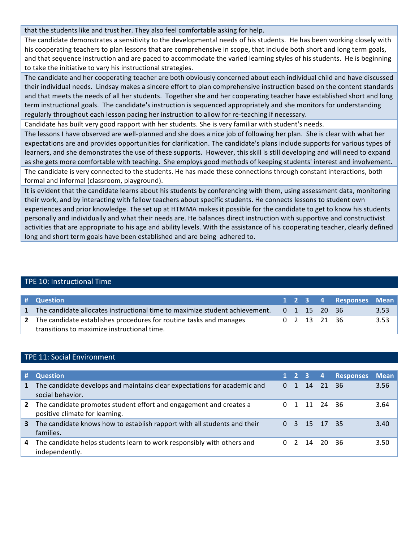that the students like and trust her. They also feel comfortable asking for help.

The candidate demonstrates a sensitivity to the developmental needs of his students. He has been working closely with his cooperating teachers to plan lessons that are comprehensive in scope, that include both short and long term goals, and that sequence instruction and are paced to accommodate the varied learning styles of his students. He is beginning to take the initiative to vary his instructional strategies.

The candidate and her cooperating teacher are both obviously concerned about each individual child and have discussed their individual needs. Lindsay makes a sincere effort to plan comprehensive instruction based on the content standards and that meets the needs of all her students. Together she and her cooperating teacher have established short and long term instructional goals. The candidate's instruction is sequenced appropriately and she monitors for understanding regularly throughout each lesson pacing her instruction to allow for re-teaching if necessary.

Candidate has built very good rapport with her students. She is very familiar with student's needs.

The lessons I have observed are well-planned and she does a nice job of following her plan. She is clear with what her expectations are and provides opportunities for clarification. The candidate's plans include supports for various types of learners, and she demonstrates the use of these supports. However, this skill is still developing and will need to expand as she gets more comfortable with teaching. She employs good methods of keeping students' interest and involvement. The candidate is very connected to the students. He has made these connections through constant interactions, both formal and informal (classroom, playground).

It is evident that the candidate learns about his students by conferencing with them, using assessment data, monitoring their work, and by interacting with fellow teachers about specific students. He connects lessons to student own experiences and prior knowledge. The set up at HTMMA makes it possible for the candidate to get to know his students personally and individually and what their needs are. He balances direct instruction with supportive and constructivist activities that are appropriate to his age and ability levels. With the assistance of his cooperating teacher, clearly defined long and short term goals have been established and are being adhered to.

### TPE 10: Instructional Time

| # Question                                                                    |  |                        | 1 2 3 4 Responses Mean |      |
|-------------------------------------------------------------------------------|--|------------------------|------------------------|------|
| 1 The candidate allocates instructional time to maximize student achievement. |  | $0 \t1 \t15 \t20 \t36$ |                        | 3.53 |
| 2 The candidate establishes procedures for routine tasks and manages          |  | 0 2 13 21 36           |                        | 3.53 |
| transitions to maximize instructional time.                                   |  |                        |                        |      |

#### TPE 11: Social Environment

| #            | <b>Question</b>                                                                                      |          | $1 \quad 2 \quad 3$ |            | $\overline{a}$ | <b>Responses</b> | <b>Mean</b> |
|--------------|------------------------------------------------------------------------------------------------------|----------|---------------------|------------|----------------|------------------|-------------|
| 1            | The candidate develops and maintains clear expectations for academic and<br>social behavior.         | $\Omega$ | $\mathbf{1}$        | 14         | $-21$          | - 36             | 3.56        |
| $\mathbf{2}$ | The candidate promotes student effort and engagement and creates a<br>positive climate for learning. |          |                     | 11 24 36   |                |                  | 3.64        |
| 3            | The candidate knows how to establish rapport with all students and their<br>families.                | $\Omega$ |                     | 3 15 17 35 |                |                  | 3.40        |
| 4            | The candidate helps students learn to work responsibly with others and<br>independently.             |          |                     |            | 14 20 36       |                  | 3.50        |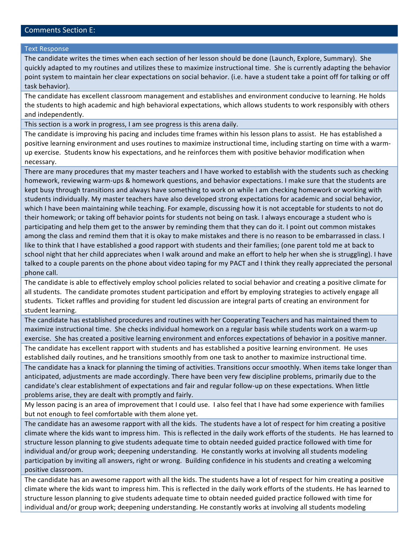#### Comments Section E:

#### **Text Response**

The candidate writes the times when each section of her lesson should be done (Launch, Explore, Summary). She quickly adapted to my routines and utilizes these to maximize instructional time. She is currently adapting the behavior point system to maintain her clear expectations on social behavior. (i.e. have a student take a point off for talking or off task behavior).

The candidate has excellent classroom management and establishes and environment conducive to learning. He holds the students to high academic and high behavioral expectations, which allows students to work responsibly with others and independently.

This section is a work in progress, I am see progress is this arena daily.

The candidate is improving his pacing and includes time frames within his lesson plans to assist. He has established a positive learning environment and uses routines to maximize instructional time, including starting on time with a warmup exercise. Students know his expectations, and he reinforces them with positive behavior modification when necessary.

There are many procedures that my master teachers and I have worked to establish with the students such as checking homework, reviewing warm-ups & homework questions, and behavior expectations. I make sure that the students are kept busy through transitions and always have something to work on while I am checking homework or working with students individually. My master teachers have also developed strong expectations for academic and social behavior, which I have been maintaining while teaching. For example, discussing how it is not acceptable for students to not do their homework; or taking off behavior points for students not being on task. I always encourage a student who is participating and help them get to the answer by reminding them that they can do it. I point out common mistakes among the class and remind them that it is okay to make mistakes and there is no reason to be embarrassed in class. I like to think that I have established a good rapport with students and their families; (one parent told me at back to school night that her child appreciates when I walk around and make an effort to help her when she is struggling). I have talked to a couple parents on the phone about video taping for my PACT and I think they really appreciated the personal phone call.

The candidate is able to effectively employ school policies related to social behavior and creating a positive climate for all students. The candidate promotes student participation and effort by employing strategies to actively engage all students. Ticket raffles and providing for student led discussion are integral parts of creating an environment for student learning.

The candidate has established procedures and routines with her Cooperating Teachers and has maintained them to maximize instructional time. She checks individual homework on a regular basis while students work on a warm-up exercise. She has created a positive learning environment and enforces expectations of behavior in a positive manner. The candidate has excellent rapport with students and has established a positive learning environment. He uses established daily routines, and he transitions smoothly from one task to another to maximize instructional time. The candidate has a knack for planning the timing of activities. Transitions occur smoothly. When items take longer than anticipated, adjustments are made accordingly. There have been very few discipline problems, primarily due to the candidate's clear establishment of expectations and fair and regular follow-up on these expectations. When little

problems arise, they are dealt with promptly and fairly.

My lesson pacing is an area of improvement that I could use. I also feel that I have had some experience with families but not enough to feel comfortable with them alone yet.

The candidate has an awesome rapport with all the kids. The students have a lot of respect for him creating a positive climate where the kids want to impress him. This is reflected in the daily work efforts of the students. He has learned to structure lesson planning to give students adequate time to obtain needed guided practice followed with time for individual and/or group work; deepening understanding. He constantly works at involving all students modeling participation by inviting all answers, right or wrong. Building confidence in his students and creating a welcoming positive classroom.

The candidate has an awesome rapport with all the kids. The students have a lot of respect for him creating a positive climate where the kids want to impress him. This is reflected in the daily work efforts of the students. He has learned to structure lesson planning to give students adequate time to obtain needed guided practice followed with time for individual and/or group work; deepening understanding. He constantly works at involving all students modeling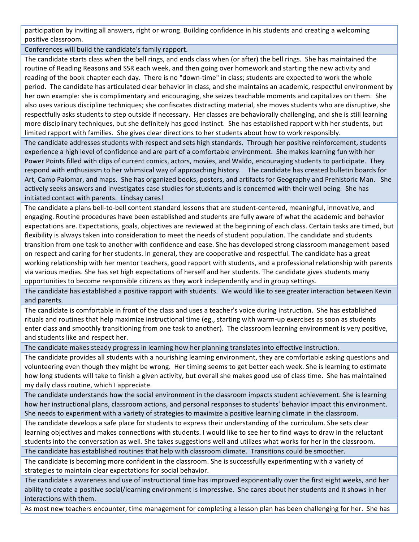participation by inviting all answers, right or wrong. Building confidence in his students and creating a welcoming positive classroom.

Conferences will build the candidate's family rapport.

The candidate starts class when the bell rings, and ends class when (or after) the bell rings. She has maintained the routine of Reading Reasons and SSR each week, and then going over homework and starting the new activity and reading of the book chapter each day. There is no "down-time" in class; students are expected to work the whole period. The candidate has articulated clear behavior in class, and she maintains an academic, respectful environment by her own example: she is complimentary and encouraging, she seizes teachable moments and capitalizes on them. She also uses various discipline techniques; she confiscates distracting material, she moves students who are disruptive, she respectfully asks students to step outside if necessary. Her classes are behaviorally challenging, and she is still learning more disciplinary techniques, but she definitely has good instinct. She has established rapport with her students, but limited rapport with families. She gives clear directions to her students about how to work responsibly.

The candidate addresses students with respect and sets high standards. Through her positive reinforcement, students experience a high level of confidence and are part of a comfortable environment. She makes learning fun with her Power Points filled with clips of current comics, actors, movies, and Waldo, encouraging students to participate. They respond with enthusiasm to her whimsical way of approaching history. The candidate has created bulletin boards for Art, Camp Palomar, and maps. She has organized books, posters, and artifacts for Geography and Prehistoric Man. She actively seeks answers and investigates case studies for students and is concerned with their well being. She has initiated contact with parents. Lindsay cares!

The candidate a plans bell-to-bell content standard lessons that are student-centered, meaningful, innovative, and engaging. Routine procedures have been established and students are fully aware of what the academic and behavior expectations are. Expectations, goals, objectives are reviewed at the beginning of each class. Certain tasks are timed, but flexibility is always taken into consideration to meet the needs of student population. The candidate and students transition from one task to another with confidence and ease. She has developed strong classroom management based on respect and caring for her students. In general, they are cooperative and respectful. The candidate has a great working relationship with her mentor teachers, good rapport with students, and a professional relationship with parents via various medias. She has set high expectations of herself and her students. The candidate gives students many opportunities to become responsible citizens as they work independently and in group settings.

The candidate has established a positive rapport with students. We would like to see greater interaction between Kevin and parents.

The candidate is comfortable in front of the class and uses a teacher's voice during instruction. She has established rituals and routines that help maximize instructional time (eg., starting with warm-up exercises as soon as students enter class and smoothly transitioning from one task to another). The classroom learning environment is very positive, and students like and respect her.

The candidate makes steady progress in learning how her planning translates into effective instruction.

The candidate provides all students with a nourishing learning environment, they are comfortable asking questions and volunteering even though they might be wrong. Her timing seems to get better each week. She is learning to estimate how long students will take to finish a given activity, but overall she makes good use of class time. She has maintained my daily class routine, which I appreciate.

The candidate understands how the social environment in the classroom impacts student achievement. She is learning how her instructional plans, classroom actions, and personal responses to students' behavior impact this environment. She needs to experiment with a variety of strategies to maximize a positive learning climate in the classroom.

The candidate develops a safe place for students to express their understanding of the curriculum. She sets clear learning objectives and makes connections with students. I would like to see her to find ways to draw in the reluctant students into the conversation as well. She takes suggestions well and utilizes what works for her in the classroom.

The candidate has established routines that help with classroom climate. Transitions could be smoother.

The candidate is becoming more confident in the classroom. She is successfully experimenting with a variety of strategies to maintain clear expectations for social behavior.

The candidate s awareness and use of instructional time has improved exponentially over the first eight weeks, and her ability to create a positive social/learning environment is impressive. She cares about her students and it shows in her interactions with them.

As most new teachers encounter, time management for completing a lesson plan has been challenging for her. She has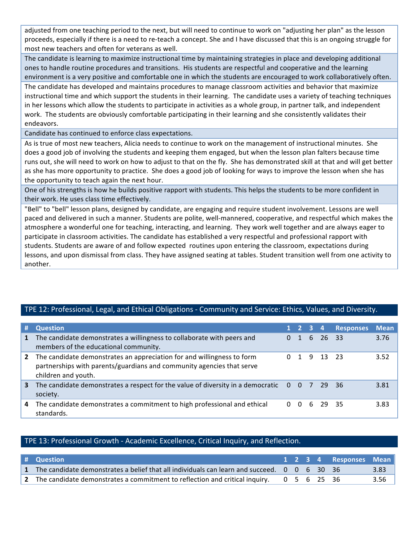adjusted from one teaching period to the next, but will need to continue to work on "adjusting her plan" as the lesson proceeds, especially if there is a need to re-teach a concept. She and I have discussed that this is an ongoing struggle for most new teachers and often for veterans as well.

The candidate is learning to maximize instructional time by maintaining strategies in place and developing additional ones to handle routine procedures and transitions. His students are respectful and cooperative and the learning environment is a very positive and comfortable one in which the students are encouraged to work collaboratively often.

The candidate has developed and maintains procedures to manage classroom activities and behavior that maximize instructional time and which support the students in their learning. The candidate uses a variety of teaching techniques in her lessons which allow the students to participate in activities as a whole group, in partner talk, and independent work. The students are obviously comfortable participating in their learning and she consistently validates their endeavors.

Candidate has continued to enforce class expectations.

As is true of most new teachers, Alicia needs to continue to work on the management of instructional minutes. She does a good job of involving the students and keeping them engaged, but when the lesson plan falters because time runs out, she will need to work on how to adjust to that on the fly. She has demonstrated skill at that and will get better as she has more opportunity to practice. She does a good job of looking for ways to improve the lesson when she has the opportunity to teach again the next hour.

One of his strengths is how he builds positive rapport with students. This helps the students to be more confident in their work. He uses class time effectively.

"Bell" to "bell" lesson plans, designed by candidate, are engaging and require student involvement. Lessons are well paced and delivered in such a manner. Students are polite, well-mannered, cooperative, and respectful which makes the atmosphere a wonderful one for teaching, interacting, and learning. They work well together and are always eager to participate in classroom activities. The candidate has established a very respectful and professional rapport with students. Students are aware of and follow expected routines upon entering the classroom, expectations during lessons, and upon dismissal from class. They have assigned seating at tables. Student transition well from one activity to another.

#### TPE 12: Professional, Legal, and Ethical Obligations - Community and Service: Ethics, Values, and Diversity.

| #            | <b>Question</b>                                                                                                                                                        |          |                |   |         | 1 2 3 4 Responses | <b>Mean</b> |
|--------------|------------------------------------------------------------------------------------------------------------------------------------------------------------------------|----------|----------------|---|---------|-------------------|-------------|
| $\mathbf{1}$ | The candidate demonstrates a willingness to collaborate with peers and<br>members of the educational community.                                                        | $\Omega$ | $\overline{1}$ | 6 | 26 33   |                   | 3.76        |
| $\mathbf{2}$ | The candidate demonstrates an appreciation for and willingness to form<br>partnerships with parents/guardians and community agencies that serve<br>children and youth. |          |                | 9 | 13 23   |                   | 3.52        |
| 3            | The candidate demonstrates a respect for the value of diversity in a democratic $0 \quad 0 \quad 7 \quad 29 \quad 36$<br>society.                                      |          |                |   |         |                   | 3.81        |
| 4            | The candidate demonstrates a commitment to high professional and ethical<br>standards.                                                                                 | 0        | $\Omega$       |   | 6 29 35 |                   | 3.83        |

#### TPE 13: Professional Growth - Academic Excellence, Critical Inquiry, and Reflection.

| # Question                                                                                                          |  |  | 1 2 3 4 Responses Mean |      |
|---------------------------------------------------------------------------------------------------------------------|--|--|------------------------|------|
| 1 The candidate demonstrates a belief that all individuals can learn and succeed. $0\quad 0\quad 6\quad 30\quad 36$ |  |  |                        | 3.83 |
| 2 The candidate demonstrates a commitment to reflection and critical inquiry. $0\quad 5\quad 6\quad 25\quad 36$     |  |  |                        | 3.56 |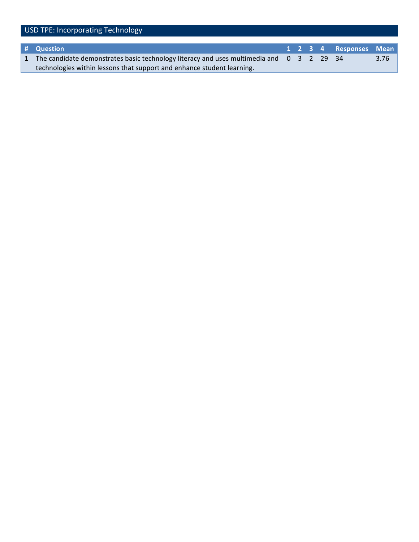| USD TPE: Incorporating Technology |                                                                                                                    |  |  |  |  |                        |      |
|-----------------------------------|--------------------------------------------------------------------------------------------------------------------|--|--|--|--|------------------------|------|
|                                   |                                                                                                                    |  |  |  |  |                        |      |
|                                   | # Question                                                                                                         |  |  |  |  | 1 2 3 4 Responses Mean |      |
| $\mathbf{1}$                      | The candidate demonstrates basic technology literacy and uses multimedia and $0 \quad 3 \quad 2 \quad 29 \quad 34$ |  |  |  |  |                        | 3.76 |
|                                   | technologies within lessons that support and enhance student learning.                                             |  |  |  |  |                        |      |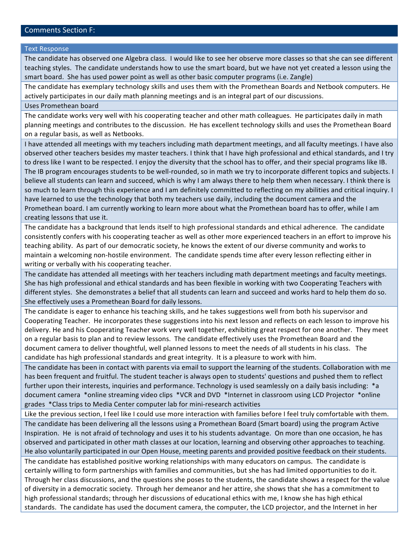#### Comments Section F:

#### **Text Response**

The candidate has observed one Algebra class. I would like to see her observe more classes so that she can see different teaching styles. The candidate understands how to use the smart board, but we have not yet created a lesson using the smart board. She has used power point as well as other basic computer programs (i.e. Zangle)

The candidate has exemplary technology skills and uses them with the Promethean Boards and Netbook computers. He actively participates in our daily math planning meetings and is an integral part of our discussions.

Uses Promethean board

The candidate works very well with his cooperating teacher and other math colleagues. He participates daily in math planning meetings and contributes to the discussion. He has excellent technology skills and uses the Promethean Board on a regular basis, as well as Netbooks.

I have attended all meetings with my teachers including math department meetings, and all faculty meetings. I have also observed other teachers besides my master teachers. I think that I have high professional and ethical standards, and I try to dress like I want to be respected. I enjoy the diversity that the school has to offer, and their special programs like IB. The IB program encourages students to be well-rounded, so in math we try to incorporate different topics and subjects. I believe all students can learn and succeed, which is why I am always there to help them when necessary. I think there is so much to learn through this experience and I am definitely committed to reflecting on my abilities and critical inquiry. I have learned to use the technology that both my teachers use daily, including the document camera and the Promethean board. I am currently working to learn more about what the Promethean board has to offer, while I am creating lessons that use it.

The candidate has a background that lends itself to high professional standards and ethical adherence. The candidate consistently confers with his cooperating teacher as well as other more experienced teachers in an effort to improve his teaching ability. As part of our democratic society, he knows the extent of our diverse community and works to maintain a welcoming non-hostile environment. The candidate spends time after every lesson reflecting either in writing or verbally with his cooperating teacher.

The candidate has attended all meetings with her teachers including math department meetings and faculty meetings. She has high professional and ethical standards and has been flexible in working with two Cooperating Teachers with different styles. She demonstrates a belief that all students can learn and succeed and works hard to help them do so. She effectively uses a Promethean Board for daily lessons.

The candidate is eager to enhance his teaching skills, and he takes suggestions well from both his supervisor and Cooperating Teacher. He incorporates these suggestions into his next lesson and reflects on each lesson to improve his delivery. He and his Cooperating Teacher work very well together, exhibiting great respect for one another. They meet on a regular basis to plan and to review lessons. The candidate effectively uses the Promethean Board and the document camera to deliver thoughtful, well planned lessons to meet the needs of all students in his class. The candidate has high professional standards and great integrity. It is a pleasure to work with him.

The candidate has been in contact with parents via email to support the learning of the students. Collaboration with me has been frequent and fruitful. The student teacher is always open to students' questions and pushed them to reflect further upon their interests, inquiries and performance. Technology is used seamlessly on a daily basis including: \*a document camera \*online streaming video clips \*VCR and DVD \*Internet in classroom using LCD Projector \*online grades \*Class trips to Media Center computer lab for mini-research activities

Like the previous section, I feel like I could use more interaction with families before I feel truly comfortable with them. The candidate has been delivering all the lessons using a Promethean Board (Smart board) using the program Active Inspiration. He is not afraid of technology and uses it to his students advantage. On more than one occasion, he has observed and participated in other math classes at our location, learning and observing other approaches to teaching. He also voluntarily participated in our Open House, meeting parents and provided positive feedback on their students.

The candidate has established positive working relationships with many educators on campus. The candidate is certainly willing to form partnerships with families and communities, but she has had limited opportunities to do it. Through her class discussions, and the questions she poses to the students, the candidate shows a respect for the value of diversity in a democratic society. Through her demeanor and her attire, she shows that she has a commitment to high professional standards; through her discussions of educational ethics with me, I know she has high ethical standards. The candidate has used the document camera, the computer, the LCD projector, and the Internet in her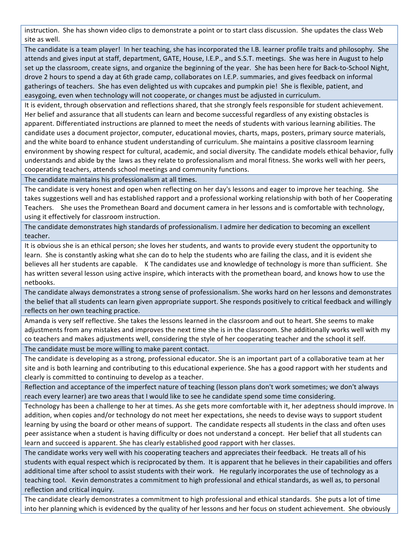instruction. She has shown video clips to demonstrate a point or to start class discussion. She updates the class Web site as well.

The candidate is a team player! In her teaching, she has incorporated the I.B. learner profile traits and philosophy. She attends and gives input at staff, department, GATE, House, I.E.P., and S.S.T. meetings. She was here in August to help set up the classroom, create signs, and organize the beginning of the year. She has been here for Back-to-School Night, drove 2 hours to spend a day at 6th grade camp, collaborates on I.E.P. summaries, and gives feedback on informal gatherings of teachers. She has even delighted us with cupcakes and pumpkin pie! She is flexible, patient, and easygoing, even when technology will not cooperate, or changes must be adjusted in curriculum.

It is evident, through observation and reflections shared, that she strongly feels responsible for student achievement. Her belief and assurance that all students can learn and become successful regardless of any existing obstacles is apparent. Differentiated instructions are planned to meet the needs of students with various learning abilities. The candidate uses a document projector, computer, educational movies, charts, maps, posters, primary source materials, and the white board to enhance student understanding of curriculum. She maintains a positive classroom learning environment by showing respect for cultural, academic, and social diversity. The candidate models ethical behavior, fully understands and abide by the laws as they relate to professionalism and moral fitness. She works well with her peers, cooperating teachers, attends school meetings and community functions.

The candidate maintains his professionalism at all times.

The candidate is very honest and open when reflecting on her day's lessons and eager to improve her teaching. She takes suggestions well and has established rapport and a professional working relationship with both of her Cooperating Teachers. She uses the Promethean Board and document camera in her lessons and is comfortable with technology, using it effectively for classroom instruction.

The candidate demonstrates high standards of professionalism. I admire her dedication to becoming an excellent teacher.

It is obvious she is an ethical person; she loves her students, and wants to provide every student the opportunity to learn. She is constantly asking what she can do to help the students who are failing the class, and it is evident she believes all her students are capable. K The candidates use and knowledge of technology is more than sufficient. She has written several lesson using active inspire, which interacts with the promethean board, and knows how to use the netbooks.

The candidate always demonstrates a strong sense of professionalism. She works hard on her lessons and demonstrates the belief that all students can learn given appropriate support. She responds positively to critical feedback and willingly reflects on her own teaching practice.

Amanda is very self reflective. She takes the lessons learned in the classroom and out to heart. She seems to make adjustments from any mistakes and improves the next time she is in the classroom. She additionally works well with my co teachers and makes adjustments well, considering the style of her cooperating teacher and the school it self.

The candidate must be more willing to make parent contact.

The candidate is developing as a strong, professional educator. She is an important part of a collaborative team at her site and is both learning and contributing to this educational experience. She has a good rapport with her students and clearly is committed to continuing to develop as a teacher.

Reflection and acceptance of the imperfect nature of teaching (lesson plans don't work sometimes; we don't always reach every learner) are two areas that I would like to see he candidate spend some time considering.

Technology has been a challenge to her at times. As she gets more comfortable with it, her adeptness should improve. In addition, when copies and/or technology do not meet her expectations, she needs to devise ways to support student learning by using the board or other means of support. The candidate respects all students in the class and often uses peer assistance when a student is having difficulty or does not understand a concept. Her belief that all students can learn and succeed is apparent. She has clearly established good rapport with her classes.

The candidate works very well with his cooperating teachers and appreciates their feedback. He treats all of his students with equal respect which is reciprocated by them. It is apparent that he believes in their capabilities and offers additional time after school to assist students with their work. He regularly incorporates the use of technology as a teaching tool. Kevin demonstrates a commitment to high professional and ethical standards, as well as, to personal reflection and critical inquiry.

The candidate clearly demonstrates a commitment to high professional and ethical standards. She puts a lot of time into her planning which is evidenced by the quality of her lessons and her focus on student achievement. She obviously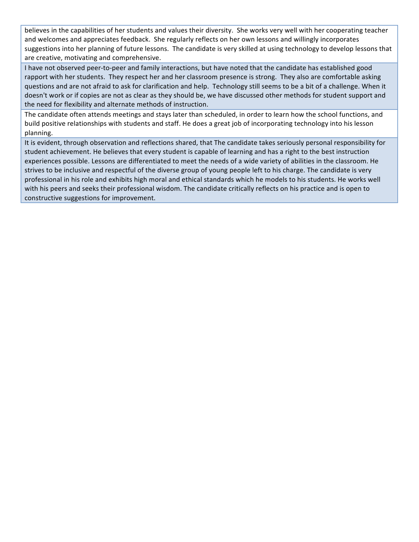believes in the capabilities of her students and values their diversity. She works very well with her cooperating teacher and welcomes and appreciates feedback. She regularly reflects on her own lessons and willingly incorporates suggestions into her planning of future lessons. The candidate is very skilled at using technology to develop lessons that are creative, motivating and comprehensive.

I have not observed peer-to-peer and family interactions, but have noted that the candidate has established good rapport with her students. They respect her and her classroom presence is strong. They also are comfortable asking questions and are not afraid to ask for clarification and help. Technology still seems to be a bit of a challenge. When it doesn't work or if copies are not as clear as they should be, we have discussed other methods for student support and the need for flexibility and alternate methods of instruction.

The candidate often attends meetings and stays later than scheduled, in order to learn how the school functions, and build positive relationships with students and staff. He does a great job of incorporating technology into his lesson planning.

It is evident, through observation and reflections shared, that The candidate takes seriously personal responsibility for student achievement. He believes that every student is capable of learning and has a right to the best instruction experiences possible. Lessons are differentiated to meet the needs of a wide variety of abilities in the classroom. He strives to be inclusive and respectful of the diverse group of young people left to his charge. The candidate is very professional in his role and exhibits high moral and ethical standards which he models to his students. He works well with his peers and seeks their professional wisdom. The candidate critically reflects on his practice and is open to constructive suggestions for improvement.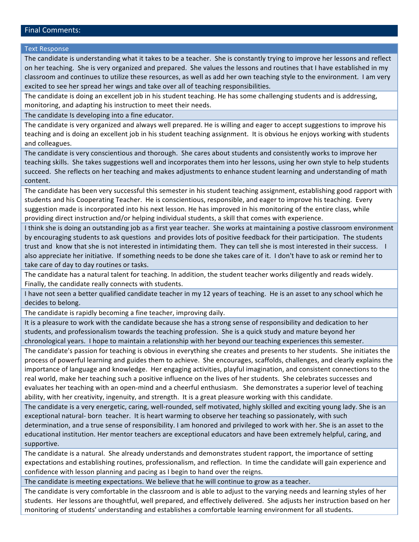#### Final Comments:

#### **Text Response**

The candidate is understanding what it takes to be a teacher. She is constantly trying to improve her lessons and reflect on her teaching. She is very organized and prepared. She values the lessons and routines that I have established in my classroom and continues to utilize these resources, as well as add her own teaching style to the environment. I am very excited to see her spread her wings and take over all of teaching responsibilities.

The candidate is doing an excellent job in his student teaching. He has some challenging students and is addressing, monitoring, and adapting his instruction to meet their needs.

The candidate Is developing into a fine educator.

The candidate is very organized and always well prepared. He is willing and eager to accept suggestions to improve his teaching and is doing an excellent job in his student teaching assignment. It is obvious he enjoys working with students and colleagues.

The candidate is very conscientious and thorough. She cares about students and consistently works to improve her teaching skills. She takes suggestions well and incorporates them into her lessons, using her own style to help students succeed. She reflects on her teaching and makes adjustments to enhance student learning and understanding of math content.

The candidate has been very successful this semester in his student teaching assignment, establishing good rapport with students and his Cooperating Teacher. He is conscientious, responsible, and eager to improve his teaching. Every suggestion made is incorporated into his next lesson. He has improved in his monitoring of the entire class, while providing direct instruction and/or helping individual students, a skill that comes with experience.

I think she is doing an outstanding job as a first year teacher. She works at maintaining a postive classroom environment by encouraging students to ask questions and provides lots of positive feedback for their participation. The students trust and know that she is not interested in intimidating them. They can tell she is most interested in their success. also appreciate her initiative. If something needs to be done she takes care of it. I don't have to ask or remind her to take care of day to day routines or tasks.

The candidate has a natural talent for teaching. In addition, the student teacher works diligently and reads widely. Finally, the candidate really connects with students.

I have not seen a better qualified candidate teacher in my 12 years of teaching. He is an asset to any school which he decides to belong.

The candidate is rapidly becoming a fine teacher, improving daily.

It is a pleasure to work with the candidate because she has a strong sense of responsibility and dedication to her students, and professionalism towards the teaching profession. She is a quick study and mature beyond her chronological years. I hope to maintain a relationship with her beyond our teaching experiences this semester.

The candidate's passion for teaching is obvious in everything she creates and presents to her students. She initiates the process of powerful learning and guides them to achieve. She encourages, scaffolds, challenges, and clearly explains the importance of language and knowledge. Her engaging activities, playful imagination, and consistent connections to the real world, make her teaching such a positive influence on the lives of her students. She celebrates successes and evaluates her teaching with an open-mind and a cheerful enthusiasm. She demonstrates a superior level of teaching ability, with her creativity, ingenuity, and strength. It is a great pleasure working with this candidate.

The candidate is a very energetic, caring, well-rounded, self motivated, highly skilled and exciting young lady. She is an exceptional natural-born (teacher.) It is heart warming to observe her teaching so passionately, with such determination, and a true sense of responsibility. I am honored and privileged to work with her. She is an asset to the educational institution. Her mentor teachers are exceptional educators and have been extremely helpful, caring, and supportive.

The candidate is a natural. She already understands and demonstrates student rapport, the importance of setting expectations and establishing routines, professionalism, and reflection. In time the candidate will gain experience and confidence with lesson planning and pacing as I begin to hand over the reigns.

The candidate is meeting expectations. We believe that he will continue to grow as a teacher.

The candidate is very comfortable in the classroom and is able to adjust to the varying needs and learning styles of her students. Her lessons are thoughtful, well prepared, and effectively delivered. She adjusts her instruction based on her monitoring of students' understanding and establishes a comfortable learning environment for all students.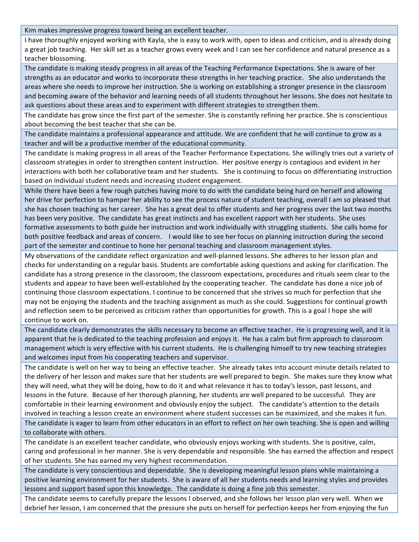Kim makes impressive progress toward being an excellent teacher.

I have thoroughly enjoyed working with Kayla, she is easy to work with, open to ideas and criticism, and is already doing a great job teaching. Her skill set as a teacher grows every week and I can see her confidence and natural presence as a teacher blossoming.

The candidate is making steady progress in all areas of the Teaching Performance Expectations. She is aware of her strengths as an educator and works to incorporate these strengths in her teaching practice. She also understands the areas where she needs to improve her instruction. She is working on establishing a stronger presence in the classroom and becoming aware of the behavior and learning needs of all students throughout her lessons. She does not hesitate to ask questions about these areas and to experiment with different strategies to strengthen them.

The candidate has grow since the first part of the semester. She is constantly refining her practice. She is conscientious about becoming the best teacher that she can be.

The candidate maintains a professional appearance and attitude. We are confident that he will continue to grow as a teacher and will be a productive member of the educational community.

The candidate is making progress in all areas of the Teacher Performance Expectations. She willingly tries out a variety of classroom strategies in order to strengthen content instruction. Her positive energy is contagious and evident in her interactions with both her collaborative team and her students. She is continuing to focus on differentiating instruction based on individual student needs and increasing student engagement.

While there have been a few rough patches having more to do with the candidate being hard on herself and allowing her drive for perfection to hamper her ability to see the process nature of student teaching, overall I am so pleased that she has chosen teaching as her career. She has a great deal to offer students and her progress over the last two months has been very positive. The candidate has great instincts and has excellent rapport with her students. She uses formative assessments to both guide her instruction and work individually with struggling students. She calls home for both positive feedback and areas of concern. I would like to see her focus on planning instruction during the second part of the semester and continue to hone her personal teaching and classroom management styles.

My observations of the candidate reflect organization and well-planned lessons. She adheres to her lesson plan and checks for understanding on a regular basis. Students are comfortable asking questions and asking for clarification. The candidate has a strong presence in the classroom; the classroom expectations, procedures and rituals seem clear to the students and appear to have been well-established by the cooperating teacher. The candidate has done a nice job of continuing those classroom expectations. I continue to be concerned that she strives so much for perfection that she may not be enjoying the students and the teaching assignment as much as she could. Suggestions for continual growth and reflection seem to be perceived as criticism rather than opportunities for growth. This is a goal I hope she will continue to work on.

The candidate clearly demonstrates the skills necessary to become an effective teacher. He is progressing well, and it is apparent that he is dedicated to the teaching profession and enjoys it. He has a calm but firm approach to classroom management which is very effective with his current students. He is challenging himself to try new teaching strategies and welcomes input from his cooperating teachers and supervisor.

The candidate is well on her way to being an effective teacher. She already takes into account minute details related to the delivery of her lesson and makes sure that her students are well prepared to begin. She makes sure they know what they will need, what they will be doing, how to do it and what relevance it has to today's lesson, past lessons, and lessons in the future. Because of her thorough planning, her students are well prepared to be successful. They are comfortable in their learning environment and obviously enjoy the subject. The candidate's attention to the details involved in teaching a lesson create an environment where student successes can be maximized, and she makes it fun.

The candidate is eager to learn from other educators in an effort to reflect on her own teaching. She is open and willing to collaborate with others.

The candidate is an excellent teacher candidate, who obviously enjoys working with students. She is positive, calm, caring and professional in her manner. She is very dependable and responsible. She has earned the affection and respect of her students. She has earned my very highest recommendation.

The candidate is very conscientious and dependable. She is developing meaningful lesson plans while maintaining a positive learning environment for her students. She is aware of all her students needs and learning styles and provides lessons and support based upon this knowledge. The candidate is doing a fine job this semester.

The candidate seems to carefully prepare the lessons I observed, and she follows her lesson plan very well. When we debrief her lesson, I am concerned that the pressure she puts on herself for perfection keeps her from enjoying the fun